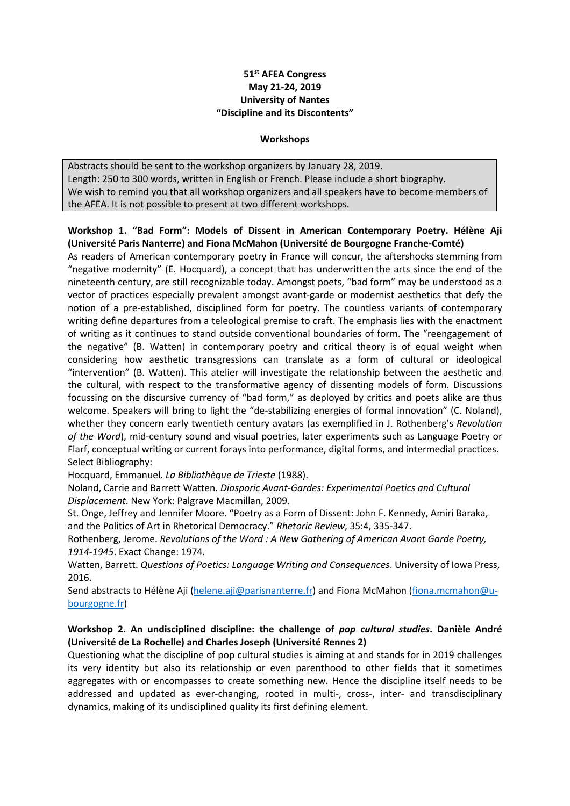## **51st AFEA Congress May 21-24, 2019 University of Nantes "Discipline and its Discontents"**

#### **Workshops**

Abstracts should be sent to the workshop organizers by January 28, 2019. Length: 250 to 300 words, written in English or French. Please include a short biography. We wish to remind you that all workshop organizers and all speakers have to become members of the AFEA. It is not possible to present at two different workshops.

## **Workshop 1. "Bad Form": Models of Dissent in American Contemporary Poetry. Hélène Aji (Université Paris Nanterre) and Fiona McMahon (Université de Bourgogne Franche-Comté)**

As readers of American contemporary poetry in France will concur, the aftershocks stemming from "negative modernity" (E. Hocquard), a concept that has underwritten the arts since the end of the nineteenth century, are still recognizable today. Amongst poets, "bad form" may be understood as a vector of practices especially prevalent amongst avant-garde or modernist aesthetics that defy the notion of a pre-established, disciplined form for poetry. The countless variants of contemporary writing define departures from a teleological premise to craft. The emphasis lies with the enactment of writing as it continues to stand outside conventional boundaries of form. The "reengagement of the negative" (B. Watten) in contemporary poetry and critical theory is of equal weight when considering how aesthetic transgressions can translate as a form of cultural or ideological "intervention" (B. Watten). This atelier will investigate the relationship between the aesthetic and the cultural, with respect to the transformative agency of dissenting models of form. Discussions focussing on the discursive currency of "bad form," as deployed by critics and poets alike are thus welcome. Speakers will bring to light the "de-stabilizing energies of formal innovation" (C. Noland), whether they concern early twentieth century avatars (as exemplified in J. Rothenberg's *Revolution of the Word*), mid-century sound and visual poetries, later experiments such as Language Poetry or Flarf, conceptual writing or current forays into performance, digital forms, and intermedial practices. Select Bibliography:

Hocquard, Emmanuel. *La Bibliothèque de Trieste* (1988).

Noland, Carrie and Barrett Watten. *Diasporic Avant-Gardes: Experimental Poetics and Cultural Displacement*. New York: Palgrave Macmillan, 2009.

St. Onge, Jeffrey and Jennifer Moore. "Poetry as a Form of Dissent: John F. Kennedy, Amiri Baraka, and the Politics of Art in Rhetorical Democracy." *Rhetoric Review*, 35:4, 335-347.

Rothenberg, Jerome. *Revolutions of the Word : A New Gathering of American Avant Garde Poetry, 1914-1945*. Exact Change: 1974.

Watten, Barrett. *Questions of Poetics: Language Writing and Consequences*. University of Iowa Press, 2016.

Send abstracts to Hélène Aji (helene.aji@parisnanterre.fr) and Fiona McMahon (fiona.mcmahon@ubourgogne.fr)

## **Workshop 2. An undisciplined discipline: the challenge of** *pop cultural studies***. Danièle André (Université de La Rochelle) and Charles Joseph (Université Rennes 2)**

Questioning what the discipline of pop cultural studies is aiming at and stands for in 2019 challenges its very identity but also its relationship or even parenthood to other fields that it sometimes aggregates with or encompasses to create something new. Hence the discipline itself needs to be addressed and updated as ever-changing, rooted in multi-, cross-, inter- and transdisciplinary dynamics, making of its undisciplined quality its first defining element.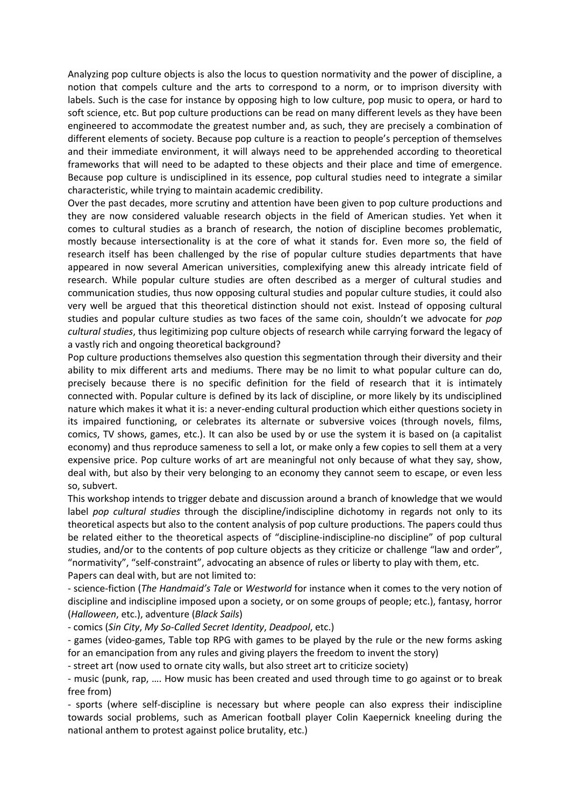Analyzing pop culture objects is also the locus to question normativity and the power of discipline, a notion that compels culture and the arts to correspond to a norm, or to imprison diversity with labels. Such is the case for instance by opposing high to low culture, pop music to opera, or hard to soft science, etc. But pop culture productions can be read on many different levels as they have been engineered to accommodate the greatest number and, as such, they are precisely a combination of different elements of society. Because pop culture is a reaction to people's perception of themselves and their immediate environment, it will always need to be apprehended according to theoretical frameworks that will need to be adapted to these objects and their place and time of emergence. Because pop culture is undisciplined in its essence, pop cultural studies need to integrate a similar characteristic, while trying to maintain academic credibility.

Over the past decades, more scrutiny and attention have been given to pop culture productions and they are now considered valuable research objects in the field of American studies. Yet when it comes to cultural studies as a branch of research, the notion of discipline becomes problematic, mostly because intersectionality is at the core of what it stands for. Even more so, the field of research itself has been challenged by the rise of popular culture studies departments that have appeared in now several American universities, complexifying anew this already intricate field of research. While popular culture studies are often described as a merger of cultural studies and communication studies, thus now opposing cultural studies and popular culture studies, it could also very well be argued that this theoretical distinction should not exist. Instead of opposing cultural studies and popular culture studies as two faces of the same coin, shouldn't we advocate for *pop cultural studies*, thus legitimizing pop culture objects of research while carrying forward the legacy of a vastly rich and ongoing theoretical background?

Pop culture productions themselves also question this segmentation through their diversity and their ability to mix different arts and mediums. There may be no limit to what popular culture can do, precisely because there is no specific definition for the field of research that it is intimately connected with. Popular culture is defined by its lack of discipline, or more likely by its undisciplined nature which makes it what it is: a never-ending cultural production which either questions society in its impaired functioning, or celebrates its alternate or subversive voices (through novels, films, comics, TV shows, games, etc.). It can also be used by or use the system it is based on (a capitalist economy) and thus reproduce sameness to sell a lot, or make only a few copies to sell them at a very expensive price. Pop culture works of art are meaningful not only because of what they say, show, deal with, but also by their very belonging to an economy they cannot seem to escape, or even less so, subvert.

This workshop intends to trigger debate and discussion around a branch of knowledge that we would label *pop cultural studies* through the discipline/indiscipline dichotomy in regards not only to its theoretical aspects but also to the content analysis of pop culture productions. The papers could thus be related either to the theoretical aspects of "discipline-indiscipline-no discipline" of pop cultural studies, and/or to the contents of pop culture objects as they criticize or challenge "law and order", "normativity", "self-constraint", advocating an absence of rules or liberty to play with them, etc. Papers can deal with, but are not limited to:

- science-fiction (*The Handmaid's Tale* or *Westworld* for instance when it comes to the very notion of discipline and indiscipline imposed upon a society, or on some groups of people; etc.), fantasy, horror (*Halloween*, etc.), adventure (*Black Sails*)

- comics (*Sin City*, *My So-Called Secret Identity*, *Deadpool*, etc.)

- games (video-games, Table top RPG with games to be played by the rule or the new forms asking for an emancipation from any rules and giving players the freedom to invent the story)

- street art (now used to ornate city walls, but also street art to criticize society)

- music (punk, rap, …. How music has been created and used through time to go against or to break free from)

- sports (where self-discipline is necessary but where people can also express their indiscipline towards social problems, such as American football player Colin Kaepernick kneeling during the national anthem to protest against police brutality, etc.)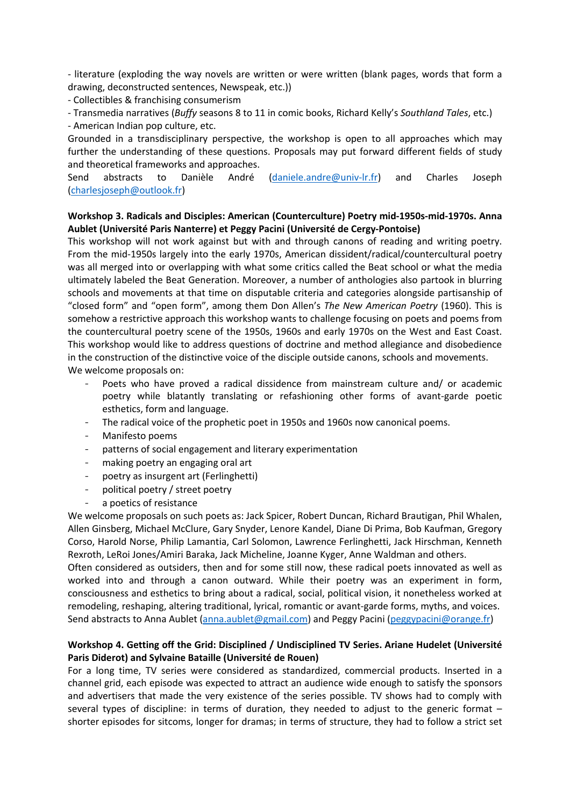- literature (exploding the way novels are written or were written (blank pages, words that form a drawing, deconstructed sentences, Newspeak, etc.))

- Collectibles & franchising consumerism

- Transmedia narratives (*Buffy* seasons 8 to 11 in comic books, Richard Kelly's *Southland Tales*, etc.)

- American Indian pop culture, etc.

Grounded in a transdisciplinary perspective, the workshop is open to all approaches which may further the understanding of these questions. Proposals may put forward different fields of study and theoretical frameworks and approaches.

Send abstracts to Danièle André (daniele.andre@univ-lr.fr) and Charles Joseph (charlesjoseph@outlook.fr)

### **Workshop 3. Radicals and Disciples: American (Counterculture) Poetry mid-1950s-mid-1970s. Anna Aublet (Université Paris Nanterre) et Peggy Pacini (Université de Cergy-Pontoise)**

This workshop will not work against but with and through canons of reading and writing poetry. From the mid-1950s largely into the early 1970s, American dissident/radical/countercultural poetry was all merged into or overlapping with what some critics called the Beat school or what the media ultimately labeled the Beat Generation. Moreover, a number of anthologies also partook in blurring schools and movements at that time on disputable criteria and categories alongside partisanship of "closed form" and "open form", among them Don Allen's *The New American Poetry* (1960). This is somehow a restrictive approach this workshop wants to challenge focusing on poets and poems from the countercultural poetry scene of the 1950s, 1960s and early 1970s on the West and East Coast. This workshop would like to address questions of doctrine and method allegiance and disobedience in the construction of the distinctive voice of the disciple outside canons, schools and movements. We welcome proposals on:

- Poets who have proved a radical dissidence from mainstream culture and/ or academic poetry while blatantly translating or refashioning other forms of avant-garde poetic esthetics, form and language.
- The radical voice of the prophetic poet in 1950s and 1960s now canonical poems.
- Manifesto poems
- patterns of social engagement and literary experimentation
- making poetry an engaging oral art
- poetry as insurgent art (Ferlinghetti)
- political poetry / street poetry
- a poetics of resistance

We welcome proposals on such poets as: Jack Spicer, Robert Duncan, Richard Brautigan, Phil Whalen, Allen Ginsberg, Michael McClure, Gary Snyder, Lenore Kandel, Diane Di Prima, Bob Kaufman, Gregory Corso, Harold Norse, Philip Lamantia, Carl Solomon, Lawrence Ferlinghetti, Jack Hirschman, Kenneth Rexroth, LeRoi Jones/Amiri Baraka, Jack Micheline, Joanne Kyger, Anne Waldman and others.

Often considered as outsiders, then and for some still now, these radical poets innovated as well as worked into and through a canon outward. While their poetry was an experiment in form, consciousness and esthetics to bring about a radical, social, political vision, it nonetheless worked at remodeling, reshaping, altering traditional, lyrical, romantic or avant-garde forms, myths, and voices. Send abstracts to Anna Aublet (anna.aublet@gmail.com) and Peggy Pacini (peggypacini@orange.fr)

## **Workshop 4. Getting off the Grid: Disciplined / Undisciplined TV Series. Ariane Hudelet (Université Paris Diderot) and Sylvaine Bataille (Université de Rouen)**

For a long time, TV series were considered as standardized, commercial products. Inserted in a channel grid, each episode was expected to attract an audience wide enough to satisfy the sponsors and advertisers that made the very existence of the series possible. TV shows had to comply with several types of discipline: in terms of duration, they needed to adjust to the generic format – shorter episodes for sitcoms, longer for dramas; in terms of structure, they had to follow a strict set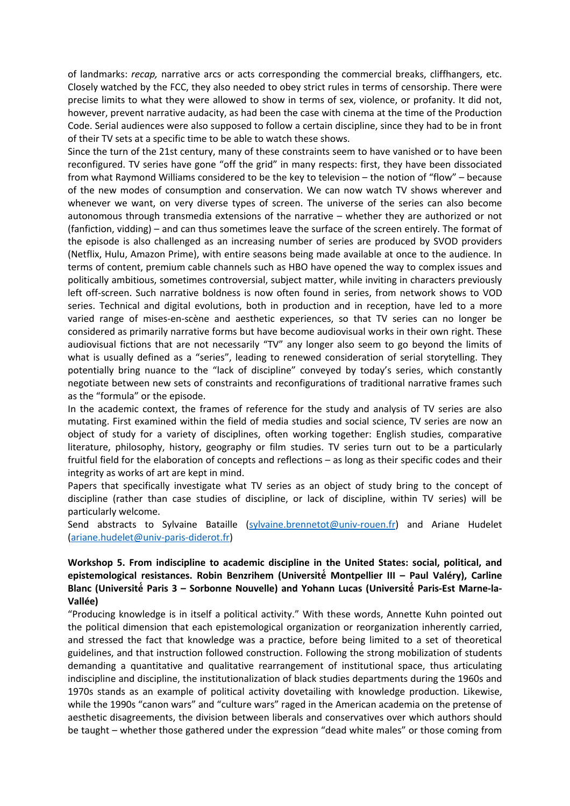of landmarks: *recap,* narrative arcs or acts corresponding the commercial breaks, cliffhangers, etc. Closely watched by the FCC, they also needed to obey strict rules in terms of censorship. There were precise limits to what they were allowed to show in terms of sex, violence, or profanity. It did not, however, prevent narrative audacity, as had been the case with cinema at the time of the Production Code. Serial audiences were also supposed to follow a certain discipline, since they had to be in front of their TV sets at a specific time to be able to watch these shows.

Since the turn of the 21st century, many of these constraints seem to have vanished or to have been reconfigured. TV series have gone "off the grid" in many respects: first, they have been dissociated from what Raymond Williams considered to be the key to television – the notion of "flow" – because of the new modes of consumption and conservation. We can now watch TV shows wherever and whenever we want, on very diverse types of screen. The universe of the series can also become autonomous through transmedia extensions of the narrative – whether they are authorized or not (fanfiction, vidding) – and can thus sometimes leave the surface of the screen entirely. The format of the episode is also challenged as an increasing number of series are produced by SVOD providers (Netflix, Hulu, Amazon Prime), with entire seasons being made available at once to the audience. In terms of content, premium cable channels such as HBO have opened the way to complex issues and politically ambitious, sometimes controversial, subject matter, while inviting in characters previously left off-screen. Such narrative boldness is now often found in series, from network shows to VOD series. Technical and digital evolutions, both in production and in reception, have led to a more varied range of mises-en-scène and aesthetic experiences, so that TV series can no longer be considered as primarily narrative forms but have become audiovisual works in their own right. These audiovisual fictions that are not necessarily "TV" any longer also seem to go beyond the limits of what is usually defined as a "series", leading to renewed consideration of serial storytelling. They potentially bring nuance to the "lack of discipline" conveyed by today's series, which constantly negotiate between new sets of constraints and reconfigurations of traditional narrative frames such as the "formula" or the episode.

In the academic context, the frames of reference for the study and analysis of TV series are also mutating. First examined within the field of media studies and social science, TV series are now an object of study for a variety of disciplines, often working together: English studies, comparative literature, philosophy, history, geography or film studies. TV series turn out to be a particularly fruitful field for the elaboration of concepts and reflections – as long as their specific codes and their integrity as works of art are kept in mind.

Papers that specifically investigate what TV series as an object of study bring to the concept of discipline (rather than case studies of discipline, or lack of discipline, within TV series) will be particularly welcome.

Send abstracts to Sylvaine Bataille (sylvaine.brennetot@univ-rouen.fr) and Ariane Hudelet (ariane.hudelet@univ-paris-diderot.fr)

# **Workshop 5. From indiscipline to academic discipline in the United States: social, political, and epistemological resistances. Robin Benzrihem (Université́ Montpellier III – Paul Valéry), Carline**  Blanc (Université Paris 3 - Sorbonne Nouvelle) and Yohann Lucas (Université Paris-Est Marne-la-**Vallée)**

"Producing knowledge is in itself a political activity." With these words, Annette Kuhn pointed out the political dimension that each epistemological organization or reorganization inherently carried, and stressed the fact that knowledge was a practice, before being limited to a set of theoretical guidelines, and that instruction followed construction. Following the strong mobilization of students demanding a quantitative and qualitative rearrangement of institutional space, thus articulating indiscipline and discipline, the institutionalization of black studies departments during the 1960s and 1970s stands as an example of political activity dovetailing with knowledge production. Likewise, while the 1990s "canon wars" and "culture wars" raged in the American academia on the pretense of aesthetic disagreements, the division between liberals and conservatives over which authors should be taught – whether those gathered under the expression "dead white males" or those coming from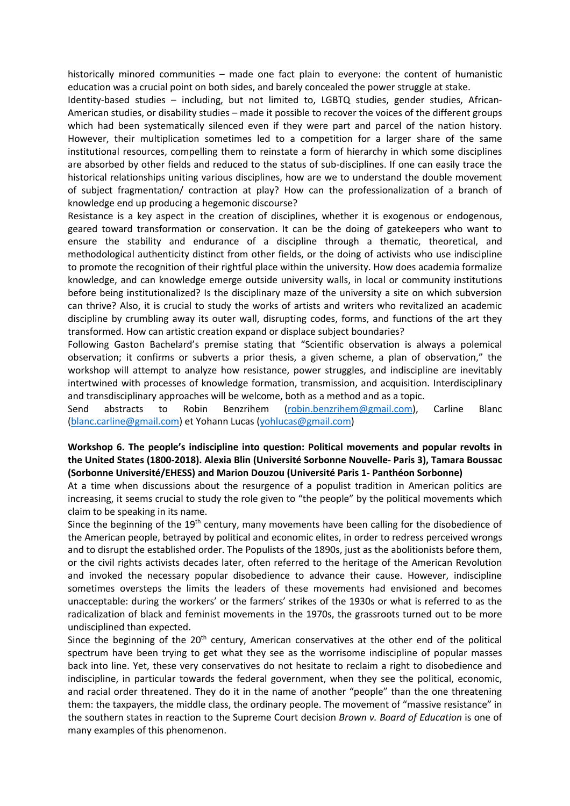historically minored communities – made one fact plain to everyone: the content of humanistic education was a crucial point on both sides, and barely concealed the power struggle at stake.

Identity-based studies – including, but not limited to, LGBTQ studies, gender studies, African-American studies, or disability studies – made it possible to recover the voices of the different groups which had been systematically silenced even if they were part and parcel of the nation history. However, their multiplication sometimes led to a competition for a larger share of the same institutional resources, compelling them to reinstate a form of hierarchy in which some disciplines are absorbed by other fields and reduced to the status of sub-disciplines. If one can easily trace the historical relationships uniting various disciplines, how are we to understand the double movement of subject fragmentation/ contraction at play? How can the professionalization of a branch of knowledge end up producing a hegemonic discourse?

Resistance is a key aspect in the creation of disciplines, whether it is exogenous or endogenous, geared toward transformation or conservation. It can be the doing of gatekeepers who want to ensure the stability and endurance of a discipline through a thematic, theoretical, and methodological authenticity distinct from other fields, or the doing of activists who use indiscipline to promote the recognition of their rightful place within the university. How does academia formalize knowledge, and can knowledge emerge outside university walls, in local or community institutions before being institutionalized? Is the disciplinary maze of the university a site on which subversion can thrive? Also, it is crucial to study the works of artists and writers who revitalized an academic discipline by crumbling away its outer wall, disrupting codes, forms, and functions of the art they transformed. How can artistic creation expand or displace subject boundaries?

Following Gaston Bachelard's premise stating that "Scientific observation is always a polemical observation; it confirms or subverts a prior thesis, a given scheme, a plan of observation," the workshop will attempt to analyze how resistance, power struggles, and indiscipline are inevitably intertwined with processes of knowledge formation, transmission, and acquisition. Interdisciplinary and transdisciplinary approaches will be welcome, both as a method and as a topic.

Send abstracts to Robin Benzrihem (robin.benzrihem@gmail.com), Carline Blanc (blanc.carline@gmail.com) et Yohann Lucas (yohlucas@gmail.com)

# **Workshop 6. The people's indiscipline into question: Political movements and popular revolts in the United States (1800-2018). Alexia Blin (Université Sorbonne Nouvelle- Paris 3), Tamara Boussac (Sorbonne Université/EHESS) and Marion Douzou (Université Paris 1- Panthéon Sorbonne)**

At a time when discussions about the resurgence of a populist tradition in American politics are increasing, it seems crucial to study the role given to "the people" by the political movements which claim to be speaking in its name.

Since the beginning of the  $19<sup>th</sup>$  century, many movements have been calling for the disobedience of the American people, betrayed by political and economic elites, in order to redress perceived wrongs and to disrupt the established order. The Populists of the 1890s, just as the abolitionists before them, or the civil rights activists decades later, often referred to the heritage of the American Revolution and invoked the necessary popular disobedience to advance their cause. However, indiscipline sometimes oversteps the limits the leaders of these movements had envisioned and becomes unacceptable: during the workers' or the farmers' strikes of the 1930s or what is referred to as the radicalization of black and feminist movements in the 1970s, the grassroots turned out to be more undisciplined than expected.

Since the beginning of the 20<sup>th</sup> century, American conservatives at the other end of the political spectrum have been trying to get what they see as the worrisome indiscipline of popular masses back into line. Yet, these very conservatives do not hesitate to reclaim a right to disobedience and indiscipline, in particular towards the federal government, when they see the political, economic, and racial order threatened. They do it in the name of another "people" than the one threatening them: the taxpayers, the middle class, the ordinary people. The movement of "massive resistance" in the southern states in reaction to the Supreme Court decision *Brown v. Board of Education* is one of many examples of this phenomenon.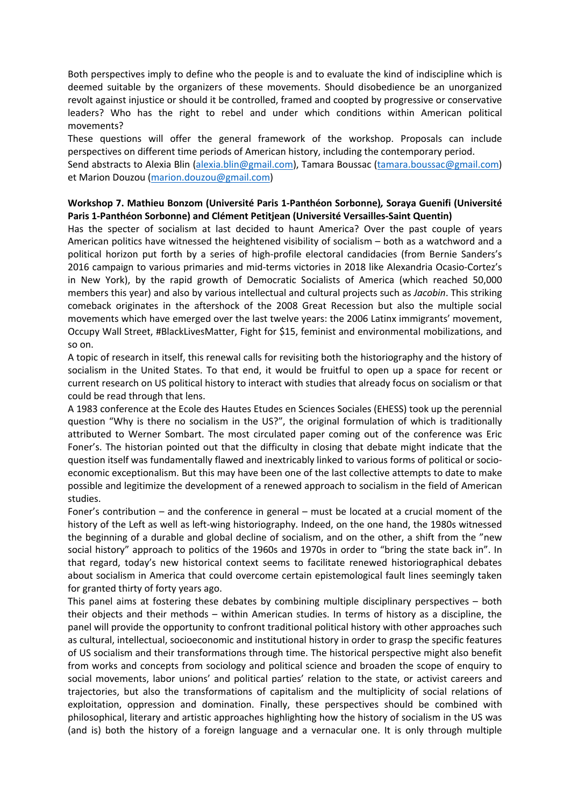Both perspectives imply to define who the people is and to evaluate the kind of indiscipline which is deemed suitable by the organizers of these movements. Should disobedience be an unorganized revolt against injustice or should it be controlled, framed and coopted by progressive or conservative leaders? Who has the right to rebel and under which conditions within American political movements?

These questions will offer the general framework of the workshop. Proposals can include perspectives on different time periods of American history, including the contemporary period. Send abstracts to Alexia Blin (alexia.blin@gmail.com), Tamara Boussac (tamara.boussac@gmail.com) et Marion Douzou (marion.douzou@gmail.com)

# **Workshop 7. Mathieu Bonzom (Université Paris 1-Panthéon Sorbonne)***,* **Soraya Guenifi (Université Paris 1-Panthéon Sorbonne) and Clément Petitjean (Université Versailles-Saint Quentin)**

Has the specter of socialism at last decided to haunt America? Over the past couple of years American politics have witnessed the heightened visibility of socialism – both as a watchword and a political horizon put forth by a series of high-profile electoral candidacies (from Bernie Sanders's 2016 campaign to various primaries and mid-terms victories in 2018 like Alexandria Ocasio-Cortez's in New York), by the rapid growth of Democratic Socialists of America (which reached 50,000 members this year) and also by various intellectual and cultural projects such as *Jacobin*. This striking comeback originates in the aftershock of the 2008 Great Recession but also the multiple social movements which have emerged over the last twelve years: the 2006 Latinx immigrants' movement, Occupy Wall Street, #BlackLivesMatter, Fight for \$15, feminist and environmental mobilizations, and so on.

A topic of research in itself, this renewal calls for revisiting both the historiography and the history of socialism in the United States. To that end, it would be fruitful to open up a space for recent or current research on US political history to interact with studies that already focus on socialism or that could be read through that lens.

A 1983 conference at the Ecole des Hautes Etudes en Sciences Sociales (EHESS) took up the perennial question "Why is there no socialism in the US?", the original formulation of which is traditionally attributed to Werner Sombart. The most circulated paper coming out of the conference was Eric Foner's. The historian pointed out that the difficulty in closing that debate might indicate that the question itself was fundamentally flawed and inextricably linked to various forms of political or socioeconomic exceptionalism. But this may have been one of the last collective attempts to date to make possible and legitimize the development of a renewed approach to socialism in the field of American studies.

Foner's contribution – and the conference in general – must be located at a crucial moment of the history of the Left as well as left-wing historiography. Indeed, on the one hand, the 1980s witnessed the beginning of a durable and global decline of socialism, and on the other, a shift from the "new social history" approach to politics of the 1960s and 1970s in order to "bring the state back in". In that regard, today's new historical context seems to facilitate renewed historiographical debates about socialism in America that could overcome certain epistemological fault lines seemingly taken for granted thirty of forty years ago.

This panel aims at fostering these debates by combining multiple disciplinary perspectives – both their objects and their methods – within American studies. In terms of history as a discipline, the panel will provide the opportunity to confront traditional political history with other approaches such as cultural, intellectual, socioeconomic and institutional history in order to grasp the specific features of US socialism and their transformations through time. The historical perspective might also benefit from works and concepts from sociology and political science and broaden the scope of enquiry to social movements, labor unions' and political parties' relation to the state, or activist careers and trajectories, but also the transformations of capitalism and the multiplicity of social relations of exploitation, oppression and domination. Finally, these perspectives should be combined with philosophical, literary and artistic approaches highlighting how the history of socialism in the US was (and is) both the history of a foreign language and a vernacular one. It is only through multiple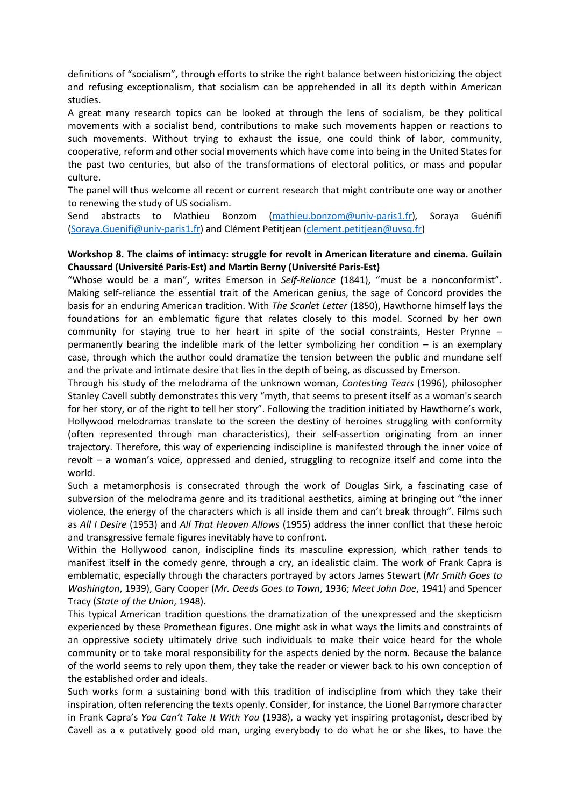definitions of "socialism", through efforts to strike the right balance between historicizing the object and refusing exceptionalism, that socialism can be apprehended in all its depth within American studies.

A great many research topics can be looked at through the lens of socialism, be they political movements with a socialist bend, contributions to make such movements happen or reactions to such movements. Without trying to exhaust the issue, one could think of labor, community, cooperative, reform and other social movements which have come into being in the United States for the past two centuries, but also of the transformations of electoral politics, or mass and popular culture.

The panel will thus welcome all recent or current research that might contribute one way or another to renewing the study of US socialism.

Send abstracts to Mathieu Bonzom (mathieu.bonzom@univ-paris1.fr)*,* Soraya Guénifi (Soraya.Guenifi@univ-paris1.fr) and Clément Petitjean (clement.petitjean@uvsq.fr)

## **Workshop 8. The claims of intimacy: struggle for revolt in American literature and cinema. Guilain Chaussard (Université Paris-Est) and Martin Berny (Université Paris-Est)**

"Whose would be a man", writes Emerson in *Self-Reliance* (1841), "must be a nonconformist". Making self-reliance the essential trait of the American genius, the sage of Concord provides the basis for an enduring American tradition. With *The Scarlet Letter* (1850), Hawthorne himself lays the foundations for an emblematic figure that relates closely to this model. Scorned by her own community for staying true to her heart in spite of the social constraints, Hester Prynne – permanently bearing the indelible mark of the letter symbolizing her condition – is an exemplary case, through which the author could dramatize the tension between the public and mundane self and the private and intimate desire that lies in the depth of being, as discussed by Emerson.

Through his study of the melodrama of the unknown woman, *Contesting Tears* (1996), philosopher Stanley Cavell subtly demonstrates this very "myth, that seems to present itself as a woman's search for her story, or of the right to tell her story". Following the tradition initiated by Hawthorne's work, Hollywood melodramas translate to the screen the destiny of heroines struggling with conformity (often represented through man characteristics), their self-assertion originating from an inner trajectory. Therefore, this way of experiencing indiscipline is manifested through the inner voice of revolt – a woman's voice, oppressed and denied, struggling to recognize itself and come into the world.

Such a metamorphosis is consecrated through the work of Douglas Sirk, a fascinating case of subversion of the melodrama genre and its traditional aesthetics, aiming at bringing out "the inner violence, the energy of the characters which is all inside them and can't break through". Films such as *All I Desire* (1953) and *All That Heaven Allows* (1955) address the inner conflict that these heroic and transgressive female figures inevitably have to confront.

Within the Hollywood canon, indiscipline finds its masculine expression, which rather tends to manifest itself in the comedy genre, through a cry, an idealistic claim. The work of Frank Capra is emblematic, especially through the characters portrayed by actors James Stewart (*Mr Smith Goes to Washington*, 1939), Gary Cooper (*Mr. Deeds Goes to Town*, 1936; *Meet John Doe*, 1941) and Spencer Tracy (*State of the Union*, 1948).

This typical American tradition questions the dramatization of the unexpressed and the skepticism experienced by these Promethean figures. One might ask in what ways the limits and constraints of an oppressive society ultimately drive such individuals to make their voice heard for the whole community or to take moral responsibility for the aspects denied by the norm. Because the balance of the world seems to rely upon them, they take the reader or viewer back to his own conception of the established order and ideals.

Such works form a sustaining bond with this tradition of indiscipline from which they take their inspiration, often referencing the texts openly. Consider, for instance, the Lionel Barrymore character in Frank Capra's *You Can't Take It With You* (1938), a wacky yet inspiring protagonist, described by Cavell as a « putatively good old man, urging everybody to do what he or she likes, to have the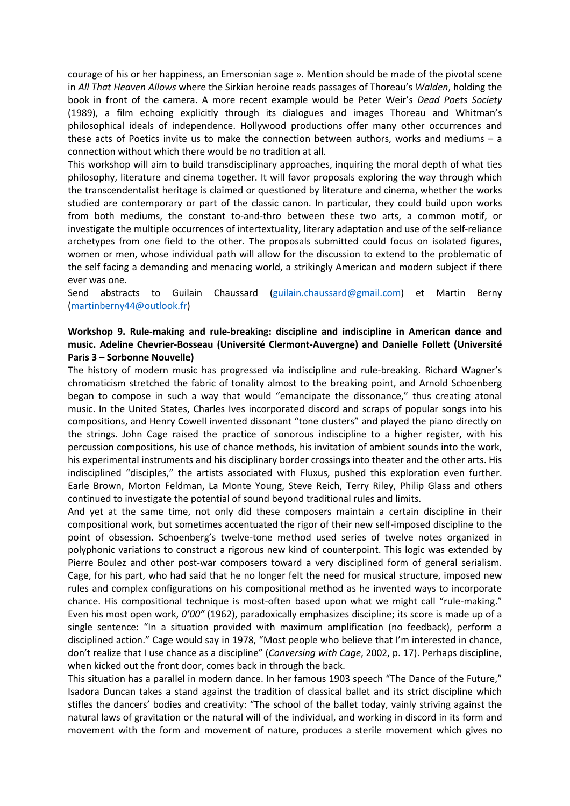courage of his or her happiness, an Emersonian sage ». Mention should be made of the pivotal scene in *All That Heaven Allows* where the Sirkian heroine reads passages of Thoreau's *Walden*, holding the book in front of the camera. A more recent example would be Peter Weir's *Dead Poets Society* (1989), a film echoing explicitly through its dialogues and images Thoreau and Whitman's philosophical ideals of independence. Hollywood productions offer many other occurrences and these acts of Poetics invite us to make the connection between authors, works and mediums – a connection without which there would be no tradition at all.

This workshop will aim to build transdisciplinary approaches, inquiring the moral depth of what ties philosophy, literature and cinema together. It will favor proposals exploring the way through which the transcendentalist heritage is claimed or questioned by literature and cinema, whether the works studied are contemporary or part of the classic canon. In particular, they could build upon works from both mediums, the constant to-and-thro between these two arts, a common motif, or investigate the multiple occurrences of intertextuality, literary adaptation and use of the self-reliance archetypes from one field to the other. The proposals submitted could focus on isolated figures, women or men, whose individual path will allow for the discussion to extend to the problematic of the self facing a demanding and menacing world, a strikingly American and modern subject if there ever was one.

Send abstracts to Guilain Chaussard (guilain.chaussard@gmail.com) et Martin Berny (martinberny44@outlook.fr)

# **Workshop 9. Rule-making and rule-breaking: discipline and indiscipline in American dance and music. Adeline Chevrier-Bosseau (Université Clermont-Auvergne) and Danielle Follett (Université Paris 3 – Sorbonne Nouvelle)**

The history of modern music has progressed via indiscipline and rule-breaking. Richard Wagner's chromaticism stretched the fabric of tonality almost to the breaking point, and Arnold Schoenberg began to compose in such a way that would "emancipate the dissonance," thus creating atonal music. In the United States, Charles Ives incorporated discord and scraps of popular songs into his compositions, and Henry Cowell invented dissonant "tone clusters" and played the piano directly on the strings. John Cage raised the practice of sonorous indiscipline to a higher register, with his percussion compositions, his use of chance methods, his invitation of ambient sounds into the work, his experimental instruments and his disciplinary border crossings into theater and the other arts. His indisciplined "disciples," the artists associated with Fluxus, pushed this exploration even further. Earle Brown, Morton Feldman, La Monte Young, Steve Reich, Terry Riley, Philip Glass and others continued to investigate the potential of sound beyond traditional rules and limits.

And yet at the same time, not only did these composers maintain a certain discipline in their compositional work, but sometimes accentuated the rigor of their new self-imposed discipline to the point of obsession. Schoenberg's twelve-tone method used series of twelve notes organized in polyphonic variations to construct a rigorous new kind of counterpoint. This logic was extended by Pierre Boulez and other post-war composers toward a very disciplined form of general serialism. Cage, for his part, who had said that he no longer felt the need for musical structure, imposed new rules and complex configurations on his compositional method as he invented ways to incorporate chance. His compositional technique is most-often based upon what we might call "rule-making." Even his most open work, *0'00"* (1962), paradoxically emphasizes discipline; its score is made up of a single sentence: "In a situation provided with maximum amplification (no feedback), perform a disciplined action." Cage would say in 1978, "Most people who believe that I'm interested in chance, don't realize that I use chance as a discipline" (*Conversing with Cage*, 2002, p. 17). Perhaps discipline, when kicked out the front door, comes back in through the back.

This situation has a parallel in modern dance. In her famous 1903 speech "The Dance of the Future," Isadora Duncan takes a stand against the tradition of classical ballet and its strict discipline which stifles the dancers' bodies and creativity: "The school of the ballet today, vainly striving against the natural laws of gravitation or the natural will of the individual, and working in discord in its form and movement with the form and movement of nature, produces a sterile movement which gives no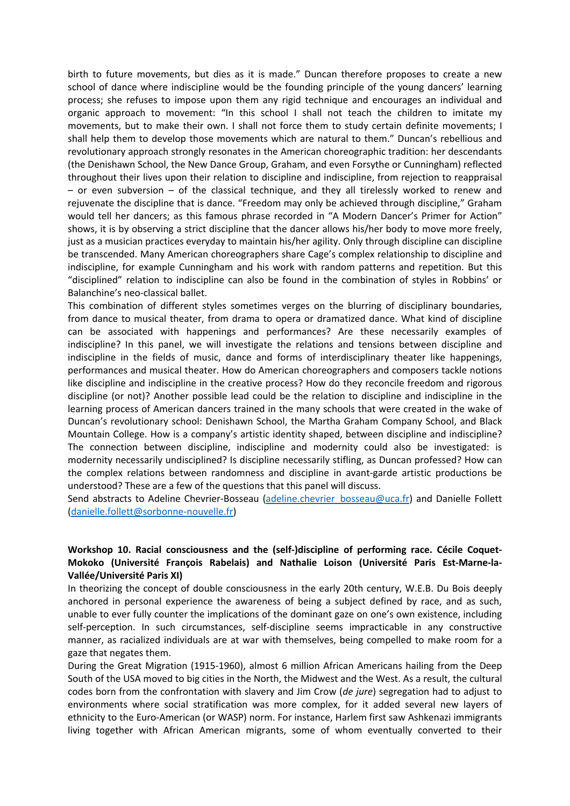birth to future movements, but dies as it is made." Duncan therefore proposes to create a new school of dance where indiscipline would be the founding principle of the young dancers' learning process; she refuses to impose upon them any rigid technique and encourages an individual and organic approach to movement: "In this school I shall not teach the children to imitate my movements, but to make their own. I shall not force them to study certain definite movements; I shall help them to develop those movements which are natural to them." Duncan's rebellious and revolutionary approach strongly resonates in the American choreographic tradition: her descendants (the Denishawn School, the New Dance Group, Graham, and even Forsythe or Cunningham) reflected throughout their lives upon their relation to discipline and indiscipline, from rejection to reappraisal – or even subversion – of the classical technique, and they all tirelessly worked to renew and rejuvenate the discipline that is dance. "Freedom may only be achieved through discipline," Graham would tell her dancers; as this famous phrase recorded in "A Modern Dancer's Primer for Action" shows, it is by observing a strict discipline that the dancer allows his/her body to move more freely, just as a musician practices everyday to maintain his/her agility. Only through discipline can discipline be transcended. Many American choreographers share Cage's complex relationship to discipline and indiscipline, for example Cunningham and his work with random patterns and repetition. But this "disciplined" relation to indiscipline can also be found in the combination of styles in Robbins' or Balanchine's neo-classical ballet.

This combination of different styles sometimes verges on the blurring of disciplinary boundaries, from dance to musical theater, from drama to opera or dramatized dance. What kind of discipline can be associated with happenings and performances? Are these necessarily examples of indiscipline? In this panel, we will investigate the relations and tensions between discipline and indiscipline in the fields of music, dance and forms of interdisciplinary theater like happenings, performances and musical theater. How do American choreographers and composers tackle notions like discipline and indiscipline in the creative process? How do they reconcile freedom and rigorous discipline (or not)? Another possible lead could be the relation to discipline and indiscipline in the learning process of American dancers trained in the many schools that were created in the wake of Duncan's revolutionary school: Denishawn School, the Martha Graham Company School, and Black Mountain College. How is a company's artistic identity shaped, between discipline and indiscipline? The connection between discipline, indiscipline and modernity could also be investigated: is modernity necessarily undisciplined? Is discipline necessarily stifling, as Duncan professed? How can the complex relations between randomness and discipline in avant-garde artistic productions be understood? These are a few of the questions that this panel will discuss.

Send abstracts to Adeline Chevrier-Bosseau (adeline.chevrier\_bosseau@uca.fr) and Danielle Follett (danielle.follett@sorbonne-nouvelle.fr)

# **Workshop 10. Racial consciousness and the (self-)discipline of performing race. Cécile Coquet-Mokoko (Université François Rabelais) and Nathalie Loison (Université Paris Est-Marne-la-Vallée/Université Paris XI)**

In theorizing the concept of double consciousness in the early 20th century, W.E.B. Du Bois deeply anchored in personal experience the awareness of being a subject defined by race, and as such, unable to ever fully counter the implications of the dominant gaze on one's own existence, including self-perception. In such circumstances, self-discipline seems impracticable in any constructive manner, as racialized individuals are at war with themselves, being compelled to make room for a gaze that negates them.

During the Great Migration (1915-1960), almost 6 million African Americans hailing from the Deep South of the USA moved to big cities in the North, the Midwest and the West. As a result, the cultural codes born from the confrontation with slavery and Jim Crow (*de jure*) segregation had to adjust to environments where social stratification was more complex, for it added several new layers of ethnicity to the Euro-American (or WASP) norm. For instance, Harlem first saw Ashkenazi immigrants living together with African American migrants, some of whom eventually converted to their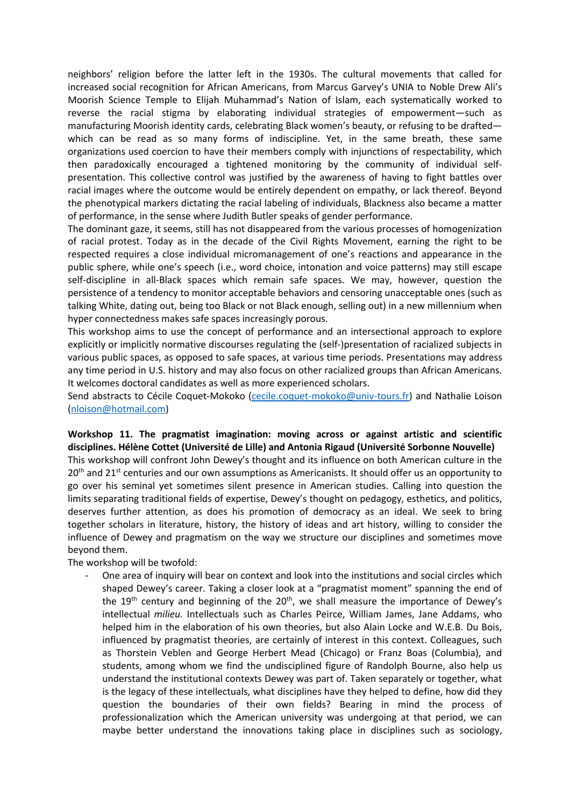neighbors' religion before the latter left in the 1930s. The cultural movements that called for increased social recognition for African Americans, from Marcus Garvey's UNIA to Noble Drew Ali's Moorish Science Temple to Elijah Muhammad's Nation of Islam, each systematically worked to reverse the racial stigma by elaborating individual strategies of empowerment—such as manufacturing Moorish identity cards, celebrating Black women's beauty, or refusing to be drafted which can be read as so many forms of indiscipline. Yet, in the same breath, these same organizations used coercion to have their members comply with injunctions of respectability, which then paradoxically encouraged a tightened monitoring by the community of individual selfpresentation. This collective control was justified by the awareness of having to fight battles over racial images where the outcome would be entirely dependent on empathy, or lack thereof. Beyond the phenotypical markers dictating the racial labeling of individuals, Blackness also became a matter of performance, in the sense where Judith Butler speaks of gender performance.

The dominant gaze, it seems, still has not disappeared from the various processes of homogenization of racial protest. Today as in the decade of the Civil Rights Movement, earning the right to be respected requires a close individual micromanagement of one's reactions and appearance in the public sphere, while one's speech (i.e., word choice, intonation and voice patterns) may still escape self-discipline in all-Black spaces which remain safe spaces. We may, however, question the persistence of a tendency to monitor acceptable behaviors and censoring unacceptable ones (such as talking White, dating out, being too Black or not Black enough, selling out) in a new millennium when hyper connectedness makes safe spaces increasingly porous.

This workshop aims to use the concept of performance and an intersectional approach to explore explicitly or implicitly normative discourses regulating the (self-)presentation of racialized subjects in various public spaces, as opposed to safe spaces, at various time periods. Presentations may address any time period in U.S. history and may also focus on other racialized groups than African Americans. It welcomes doctoral candidates as well as more experienced scholars.

Send abstracts to Cécile Coquet-Mokoko (cecile.coquet-mokoko@univ-tours.fr) and Nathalie Loison (nloison@hotmail.com)

### **Workshop 11. The pragmatist imagination: moving across or against artistic and scientific disciplines. Hélène Cottet (Université de Lille) and Antonia Rigaud (Université Sorbonne Nouvelle)**

This workshop will confront John Dewey's thought and its influence on both American culture in the  $20<sup>th</sup>$  and 21<sup>st</sup> centuries and our own assumptions as Americanists. It should offer us an opportunity to go over his seminal yet sometimes silent presence in American studies. Calling into question the limits separating traditional fields of expertise, Dewey's thought on pedagogy, esthetics, and politics, deserves further attention, as does his promotion of democracy as an ideal. We seek to bring together scholars in literature, history, the history of ideas and art history, willing to consider the influence of Dewey and pragmatism on the way we structure our disciplines and sometimes move beyond them.

The workshop will be twofold:

One area of inquiry will bear on context and look into the institutions and social circles which shaped Dewey's career. Taking a closer look at a "pragmatist moment" spanning the end of the  $19<sup>th</sup>$  century and beginning of the  $20<sup>th</sup>$ , we shall measure the importance of Dewey's intellectual *milieu.* Intellectuals such as Charles Peirce, William James, Jane Addams, who helped him in the elaboration of his own theories, but also Alain Locke and W.E.B. Du Bois, influenced by pragmatist theories, are certainly of interest in this context. Colleagues, such as Thorstein Veblen and George Herbert Mead (Chicago) or Franz Boas (Columbia), and students, among whom we find the undisciplined figure of Randolph Bourne, also help us understand the institutional contexts Dewey was part of. Taken separately or together, what is the legacy of these intellectuals, what disciplines have they helped to define, how did they question the boundaries of their own fields? Bearing in mind the process of professionalization which the American university was undergoing at that period, we can maybe better understand the innovations taking place in disciplines such as sociology,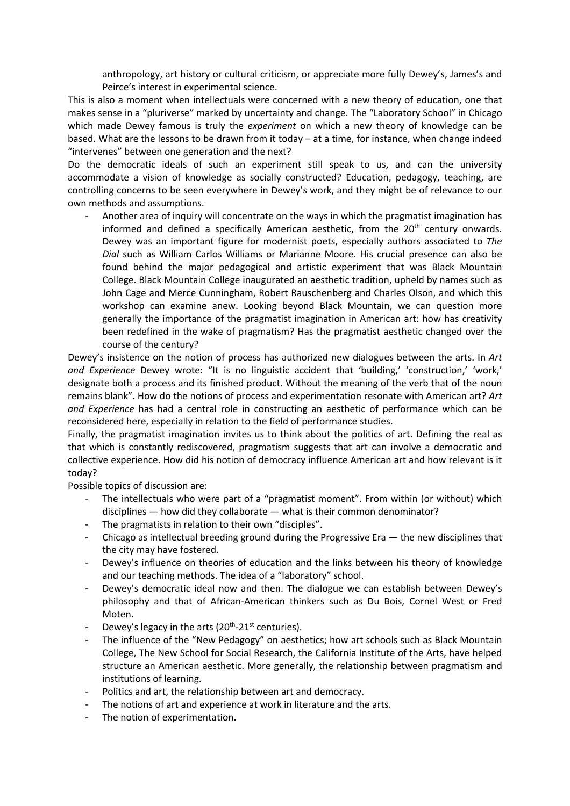anthropology, art history or cultural criticism, or appreciate more fully Dewey's, James's and Peirce's interest in experimental science.

This is also a moment when intellectuals were concerned with a new theory of education, one that makes sense in a "pluriverse" marked by uncertainty and change. The "Laboratory School" in Chicago which made Dewey famous is truly the *experiment* on which a new theory of knowledge can be based. What are the lessons to be drawn from it today – at a time, for instance, when change indeed "intervenes" between one generation and the next?

Do the democratic ideals of such an experiment still speak to us, and can the university accommodate a vision of knowledge as socially constructed? Education, pedagogy, teaching, are controlling concerns to be seen everywhere in Dewey's work, and they might be of relevance to our own methods and assumptions.

Another area of inquiry will concentrate on the ways in which the pragmatist imagination has informed and defined a specifically American aesthetic, from the  $20<sup>th</sup>$  century onwards. Dewey was an important figure for modernist poets, especially authors associated to *The Dial* such as William Carlos Williams or Marianne Moore. His crucial presence can also be found behind the major pedagogical and artistic experiment that was Black Mountain College. Black Mountain College inaugurated an aesthetic tradition, upheld by names such as John Cage and Merce Cunningham, Robert Rauschenberg and Charles Olson, and which this workshop can examine anew. Looking beyond Black Mountain, we can question more generally the importance of the pragmatist imagination in American art: how has creativity been redefined in the wake of pragmatism? Has the pragmatist aesthetic changed over the course of the century?

Dewey's insistence on the notion of process has authorized new dialogues between the arts. In *Art and Experience* Dewey wrote: "It is no linguistic accident that 'building,' 'construction,' 'work,' designate both a process and its finished product. Without the meaning of the verb that of the noun remains blank". How do the notions of process and experimentation resonate with American art? *Art and Experience* has had a central role in constructing an aesthetic of performance which can be reconsidered here, especially in relation to the field of performance studies.

Finally, the pragmatist imagination invites us to think about the politics of art. Defining the real as that which is constantly rediscovered, pragmatism suggests that art can involve a democratic and collective experience. How did his notion of democracy influence American art and how relevant is it today?

Possible topics of discussion are:

- The intellectuals who were part of a "pragmatist moment". From within (or without) which disciplines — how did they collaborate — what is their common denominator?
- The pragmatists in relation to their own "disciples".
- Chicago as intellectual breeding ground during the Progressive Era  $-$  the new disciplines that the city may have fostered.
- Dewey's influence on theories of education and the links between his theory of knowledge and our teaching methods. The idea of a "laboratory" school.
- Dewey's democratic ideal now and then. The dialogue we can establish between Dewey's philosophy and that of African-American thinkers such as Du Bois, Cornel West or Fred Moten.
- Dewey's legacy in the arts ( $20^{th}$ - $21^{st}$  centuries).
- The influence of the "New Pedagogy" on aesthetics; how art schools such as Black Mountain College, The New School for Social Research, the California Institute of the Arts, have helped structure an American aesthetic. More generally, the relationship between pragmatism and institutions of learning.
- Politics and art, the relationship between art and democracy.
- The notions of art and experience at work in literature and the arts.
- The notion of experimentation.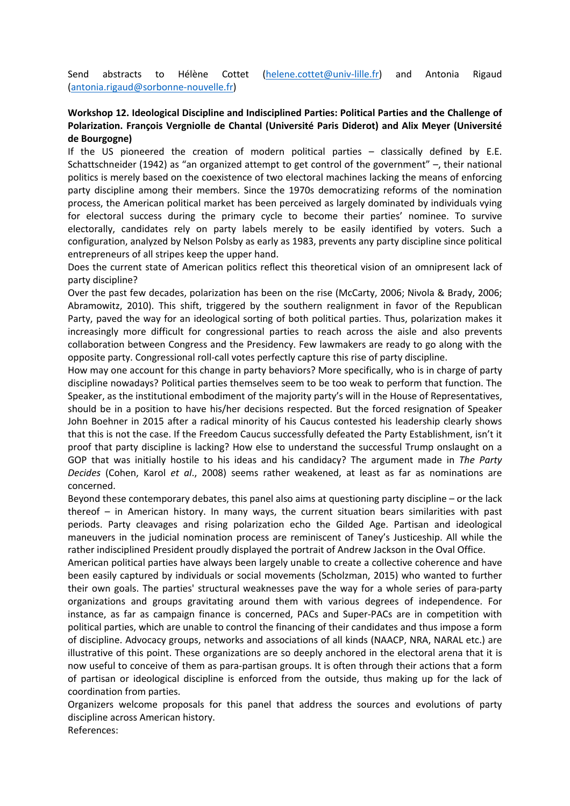Send abstracts to Hélène Cottet (helene.cottet@univ-lille.fr) and Antonia Rigaud (antonia.rigaud@sorbonne-nouvelle.fr)

# **Workshop 12. Ideological Discipline and Indisciplined Parties: Political Parties and the Challenge of Polarization. François Vergniolle de Chantal (Université Paris Diderot) and Alix Meyer (Université de Bourgogne)**

If the US pioneered the creation of modern political parties – classically defined by E.E. Schattschneider (1942) as "an organized attempt to get control of the government" –, their national politics is merely based on the coexistence of two electoral machines lacking the means of enforcing party discipline among their members. Since the 1970s democratizing reforms of the nomination process, the American political market has been perceived as largely dominated by individuals vying for electoral success during the primary cycle to become their parties' nominee. To survive electorally, candidates rely on party labels merely to be easily identified by voters. Such a configuration, analyzed by Nelson Polsby as early as 1983, prevents any party discipline since political entrepreneurs of all stripes keep the upper hand.

Does the current state of American politics reflect this theoretical vision of an omnipresent lack of party discipline?

Over the past few decades, polarization has been on the rise (McCarty, 2006; Nivola & Brady, 2006; Abramowitz, 2010). This shift, triggered by the southern realignment in favor of the Republican Party, paved the way for an ideological sorting of both political parties. Thus, polarization makes it increasingly more difficult for congressional parties to reach across the aisle and also prevents collaboration between Congress and the Presidency. Few lawmakers are ready to go along with the opposite party. Congressional roll-call votes perfectly capture this rise of party discipline.

How may one account for this change in party behaviors? More specifically, who is in charge of party discipline nowadays? Political parties themselves seem to be too weak to perform that function. The Speaker, as the institutional embodiment of the majority party's will in the House of Representatives, should be in a position to have his/her decisions respected. But the forced resignation of Speaker John Boehner in 2015 after a radical minority of his Caucus contested his leadership clearly shows that this is not the case. If the Freedom Caucus successfully defeated the Party Establishment, isn't it proof that party discipline is lacking? How else to understand the successful Trump onslaught on a GOP that was initially hostile to his ideas and his candidacy? The argument made in *The Party Decides* (Cohen, Karol *et al*., 2008) seems rather weakened, at least as far as nominations are concerned.

Beyond these contemporary debates, this panel also aims at questioning party discipline – or the lack thereof – in American history. In many ways, the current situation bears similarities with past periods. Party cleavages and rising polarization echo the Gilded Age. Partisan and ideological maneuvers in the judicial nomination process are reminiscent of Taney's Justiceship. All while the rather indisciplined President proudly displayed the portrait of Andrew Jackson in the Oval Office.

American political parties have always been largely unable to create a collective coherence and have been easily captured by individuals or social movements (Scholzman, 2015) who wanted to further their own goals. The parties' structural weaknesses pave the way for a whole series of para-party organizations and groups gravitating around them with various degrees of independence. For instance, as far as campaign finance is concerned, PACs and Super-PACs are in competition with political parties, which are unable to control the financing of their candidates and thus impose a form of discipline. Advocacy groups, networks and associations of all kinds (NAACP, NRA, NARAL etc.) are illustrative of this point. These organizations are so deeply anchored in the electoral arena that it is now useful to conceive of them as para-partisan groups. It is often through their actions that a form of partisan or ideological discipline is enforced from the outside, thus making up for the lack of coordination from parties.

Organizers welcome proposals for this panel that address the sources and evolutions of party discipline across American history.

References: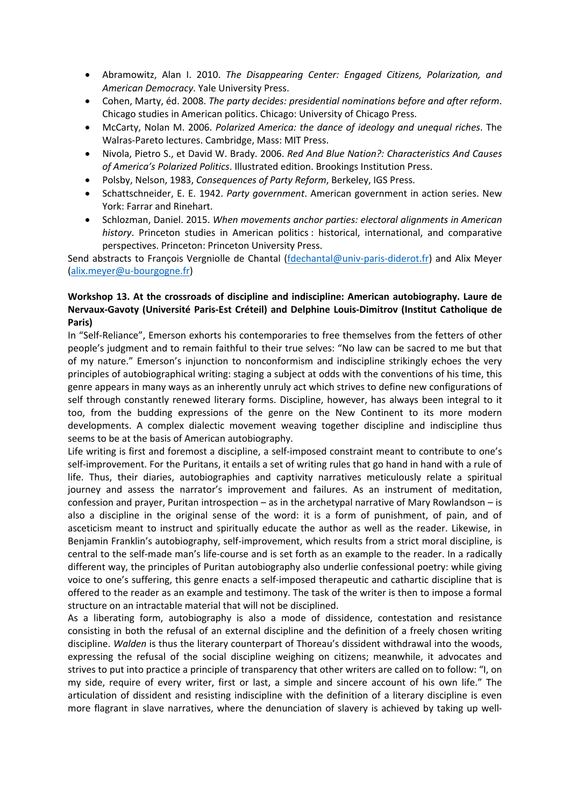- Abramowitz, Alan I. 2010. *The Disappearing Center: Engaged Citizens, Polarization, and American Democracy*. Yale University Press.
- Cohen, Marty, éd. 2008. *The party decides: presidential nominations before and after reform*. Chicago studies in American politics. Chicago: University of Chicago Press.
- McCarty, Nolan M. 2006. *Polarized America: the dance of ideology and unequal riches*. The Walras-Pareto lectures. Cambridge, Mass: MIT Press.
- Nivola, Pietro S., et David W. Brady. 2006. *Red And Blue Nation?: Characteristics And Causes of America's Polarized Politics*. Illustrated edition. Brookings Institution Press.
- Polsby, Nelson, 1983, *Consequences of Party Reform*, Berkeley, IGS Press.
- Schattschneider, E. E. 1942. *Party government*. American government in action series. New York: Farrar and Rinehart.
- Schlozman, Daniel. 2015. *When movements anchor parties: electoral alignments in American history*. Princeton studies in American politics : historical, international, and comparative perspectives. Princeton: Princeton University Press.

Send abstracts to François Vergniolle de Chantal (fdechantal@univ-paris-diderot.fr) and Alix Meyer (alix.meyer@u-bourgogne.fr)

# **Workshop 13. At the crossroads of discipline and indiscipline: American autobiography. Laure de Nervaux-Gavoty (Université Paris-Est Créteil) and Delphine Louis-Dimitrov (Institut Catholique de Paris)**

In "Self-Reliance", Emerson exhorts his contemporaries to free themselves from the fetters of other people's judgment and to remain faithful to their true selves: "No law can be sacred to me but that of my nature." Emerson's injunction to nonconformism and indiscipline strikingly echoes the very principles of autobiographical writing: staging a subject at odds with the conventions of his time, this genre appears in many ways as an inherently unruly act which strives to define new configurations of self through constantly renewed literary forms. Discipline, however, has always been integral to it too, from the budding expressions of the genre on the New Continent to its more modern developments. A complex dialectic movement weaving together discipline and indiscipline thus seems to be at the basis of American autobiography.

Life writing is first and foremost a discipline, a self-imposed constraint meant to contribute to one's self-improvement. For the Puritans, it entails a set of writing rules that go hand in hand with a rule of life. Thus, their diaries, autobiographies and captivity narratives meticulously relate a spiritual journey and assess the narrator's improvement and failures. As an instrument of meditation, confession and prayer, Puritan introspection – as in the archetypal narrative of Mary Rowlandson – is also a discipline in the original sense of the word: it is a form of punishment, of pain, and of asceticism meant to instruct and spiritually educate the author as well as the reader. Likewise, in Benjamin Franklin's autobiography, self-improvement, which results from a strict moral discipline, is central to the self-made man's life-course and is set forth as an example to the reader. In a radically different way, the principles of Puritan autobiography also underlie confessional poetry: while giving voice to one's suffering, this genre enacts a self-imposed therapeutic and cathartic discipline that is offered to the reader as an example and testimony. The task of the writer is then to impose a formal structure on an intractable material that will not be disciplined.

As a liberating form, autobiography is also a mode of dissidence, contestation and resistance consisting in both the refusal of an external discipline and the definition of a freely chosen writing discipline. *Walden* is thus the literary counterpart of Thoreau's dissident withdrawal into the woods, expressing the refusal of the social discipline weighing on citizens; meanwhile, it advocates and strives to put into practice a principle of transparency that other writers are called on to follow: "I, on my side, require of every writer, first or last, a simple and sincere account of his own life." The articulation of dissident and resisting indiscipline with the definition of a literary discipline is even more flagrant in slave narratives, where the denunciation of slavery is achieved by taking up well-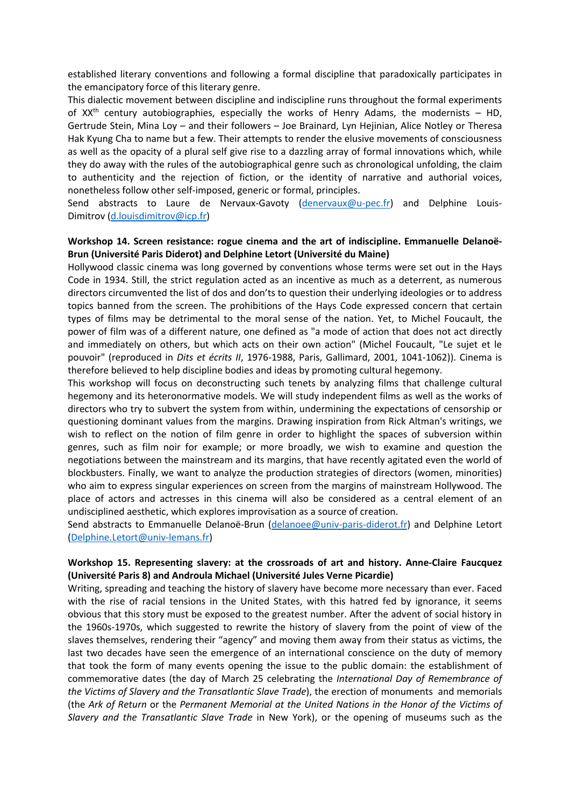established literary conventions and following a formal discipline that paradoxically participates in the emancipatory force of this literary genre.

This dialectic movement between discipline and indiscipline runs throughout the formal experiments of  $XX<sup>th</sup>$  century autobiographies, especially the works of Henry Adams, the modernists – HD, Gertrude Stein, Mina Loy – and their followers – Joe Brainard, Lyn Hejinian, Alice Notley or Theresa Hak Kyung Cha to name but a few. Their attempts to render the elusive movements of consciousness as well as the opacity of a plural self give rise to a dazzling array of formal innovations which, while they do away with the rules of the autobiographical genre such as chronological unfolding, the claim to authenticity and the rejection of fiction, or the identity of narrative and authorial voices, nonetheless follow other self-imposed, generic or formal, principles.

Send abstracts to Laure de Nervaux-Gavoty (denervaux@u-pec.fr) and Delphine Louis-Dimitrov (d.louisdimitrov@icp.fr)

### **Workshop 14. Screen resistance: rogue cinema and the art of indiscipline. Emmanuelle Delanoë-Brun (Université Paris Diderot) and Delphine Letort (Université du Maine)**

Hollywood classic cinema was long governed by conventions whose terms were set out in the Hays Code in 1934. Still, the strict regulation acted as an incentive as much as a deterrent, as numerous directors circumvented the list of dos and don'ts to question their underlying ideologies or to address topics banned from the screen. The prohibitions of the Hays Code expressed concern that certain types of films may be detrimental to the moral sense of the nation. Yet, to Michel Foucault, the power of film was of a different nature, one defined as "a mode of action that does not act directly and immediately on others, but which acts on their own action" (Michel Foucault, "Le sujet et le pouvoir" (reproduced in *Dits et écrits II*, 1976-1988, Paris, Gallimard, 2001, 1041-1062)). Cinema is therefore believed to help discipline bodies and ideas by promoting cultural hegemony.

This workshop will focus on deconstructing such tenets by analyzing films that challenge cultural hegemony and its heteronormative models. We will study independent films as well as the works of directors who try to subvert the system from within, undermining the expectations of censorship or questioning dominant values from the margins. Drawing inspiration from Rick Altman's writings, we wish to reflect on the notion of film genre in order to highlight the spaces of subversion within genres, such as film noir for example; or more broadly, we wish to examine and question the negotiations between the mainstream and its margins, that have recently agitated even the world of blockbusters. Finally, we want to analyze the production strategies of directors (women, minorities) who aim to express singular experiences on screen from the margins of mainstream Hollywood. The place of actors and actresses in this cinema will also be considered as a central element of an undisciplined aesthetic, which explores improvisation as a source of creation.

Send abstracts to Emmanuelle Delanoë-Brun (delanoee@univ-paris-diderot.fr) and Delphine Letort (Delphine.Letort@univ-lemans.fr)

## **Workshop 15. Representing slavery: at the crossroads of art and history. Anne-Claire Faucquez (Université Paris 8) and Androula Michael (Université Jules Verne Picardie)**

Writing, spreading and teaching the history of slavery have become more necessary than ever. Faced with the rise of racial tensions in the United States, with this hatred fed by ignorance, it seems obvious that this story must be exposed to the greatest number. After the advent of social history in the 1960s-1970s, which suggested to rewrite the history of slavery from the point of view of the slaves themselves, rendering their "agency" and moving them away from their status as victims, the last two decades have seen the emergence of an international conscience on the duty of memory that took the form of many events opening the issue to the public domain: the establishment of commemorative dates (the day of March 25 celebrating the *International Day of Remembrance of the Victims of Slavery and the Transatlantic Slave Trade*), the erection of monuments and memorials (the *Ark of Return* or the *Permanent Memorial at the United Nations in the Honor of the Victims of Slavery and the Transatlantic Slave Trade* in New York), or the opening of museums such as the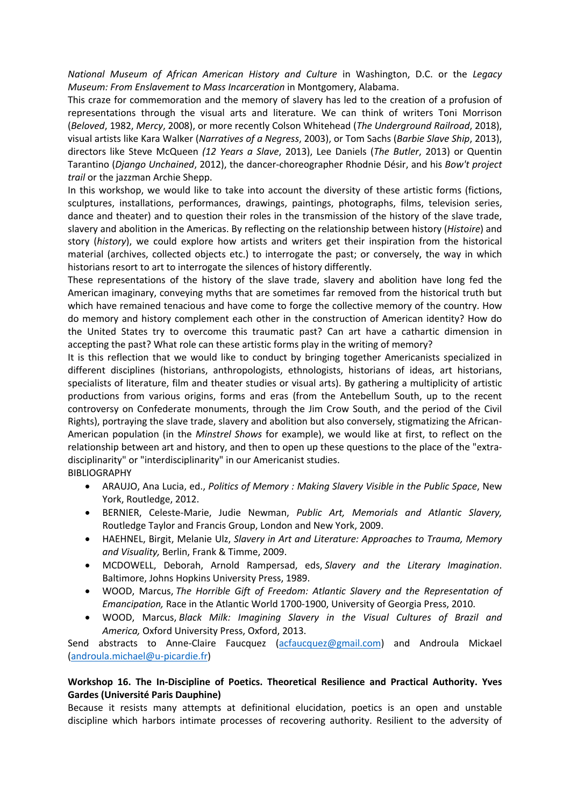*National Museum of African American History and Culture* in Washington, D.C. or the *Legacy Museum: From Enslavement to Mass Incarceration* in Montgomery, Alabama.

This craze for commemoration and the memory of slavery has led to the creation of a profusion of representations through the visual arts and literature. We can think of writers Toni Morrison (*Beloved*, 1982, *Mercy*, 2008), or more recently Colson Whitehead (*The Underground Railroad*, 2018), visual artists like Kara Walker (*Narratives of a Negress*, 2003), or Tom Sachs (*Barbie Slave Ship*, 2013), directors like Steve McQueen *(12 Years a Slave*, 2013), Lee Daniels (*The Butler*, 2013) or Quentin Tarantino (*Django Unchained*, 2012), the dancer-choreographer Rhodnie Désir, and his *Bow't project trail* or the jazzman Archie Shepp.

In this workshop, we would like to take into account the diversity of these artistic forms (fictions, sculptures, installations, performances, drawings, paintings, photographs, films, television series, dance and theater) and to question their roles in the transmission of the history of the slave trade, slavery and abolition in the Americas. By reflecting on the relationship between history (*Histoire*) and story (*history*), we could explore how artists and writers get their inspiration from the historical material (archives, collected objects etc.) to interrogate the past; or conversely, the way in which historians resort to art to interrogate the silences of history differently.

These representations of the history of the slave trade, slavery and abolition have long fed the American imaginary, conveying myths that are sometimes far removed from the historical truth but which have remained tenacious and have come to forge the collective memory of the country. How do memory and history complement each other in the construction of American identity? How do the United States try to overcome this traumatic past? Can art have a cathartic dimension in accepting the past? What role can these artistic forms play in the writing of memory?

It is this reflection that we would like to conduct by bringing together Americanists specialized in different disciplines (historians, anthropologists, ethnologists, historians of ideas, art historians, specialists of literature, film and theater studies or visual arts). By gathering a multiplicity of artistic productions from various origins, forms and eras (from the Antebellum South, up to the recent controversy on Confederate monuments, through the Jim Crow South, and the period of the Civil Rights), portraying the slave trade, slavery and abolition but also conversely, stigmatizing the African-American population (in the *Minstrel Shows* for example), we would like at first, to reflect on the relationship between art and history, and then to open up these questions to the place of the "extradisciplinarity" or "interdisciplinarity" in our Americanist studies.

BIBLIOGRAPHY

- ARAUJO, Ana Lucia, ed., *Politics of Memory : Making Slavery Visible in the Public Space*, New York, Routledge, 2012.
- BERNIER, Celeste-Marie, Judie Newman, *Public Art, Memorials and Atlantic Slavery,*  Routledge Taylor and Francis Group, London and New York, 2009.
- HAEHNEL, Birgit, Melanie Ulz, *Slavery in Art and Literature: Approaches to Trauma, Memory and Visuality,* Berlin, Frank & Timme, 2009.
- MCDOWELL, Deborah, Arnold Rampersad, eds, *Slavery and the Literary Imagination*. Baltimore, Johns Hopkins University Press, 1989.
- WOOD, Marcus, *The Horrible Gift of Freedom: Atlantic Slavery and the Representation of Emancipation,* Race in the Atlantic World 1700-1900, University of Georgia Press, 2010.
- WOOD, Marcus, *Black Milk: Imagining Slavery in the Visual Cultures of Brazil and America,* Oxford University Press, Oxford, 2013.

Send abstracts to Anne-Claire Faucquez (acfaucquez@gmail.com) and Androula Mickael (androula.michael@u-picardie.fr)

## **Workshop 16. The In-Discipline of Poetics. Theoretical Resilience and Practical Authority. Yves Gardes (Université Paris Dauphine)**

Because it resists many attempts at definitional elucidation, poetics is an open and unstable discipline which harbors intimate processes of recovering authority. Resilient to the adversity of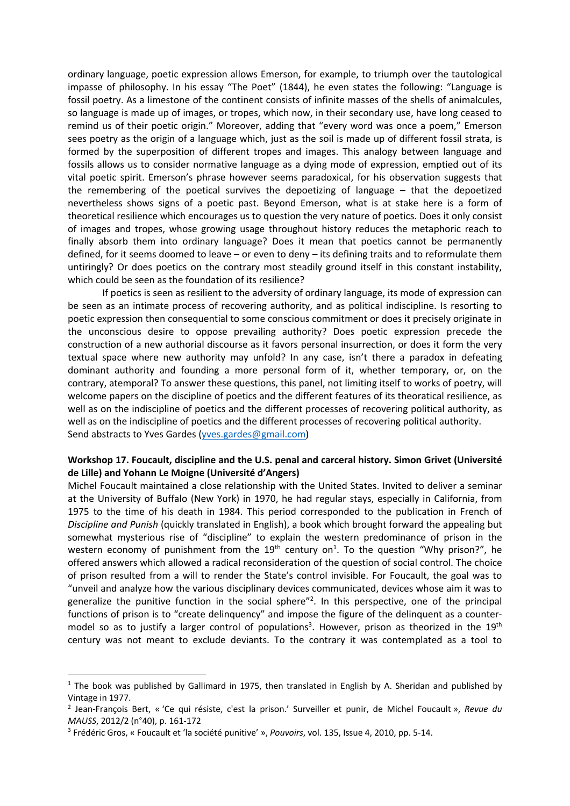ordinary language, poetic expression allows Emerson, for example, to triumph over the tautological impasse of philosophy. In his essay "The Poet" (1844), he even states the following: "Language is fossil poetry. As a limestone of the continent consists of infinite masses of the shells of animalcules, so language is made up of images, or tropes, which now, in their secondary use, have long ceased to remind us of their poetic origin." Moreover, adding that "every word was once a poem," Emerson sees poetry as the origin of a language which, just as the soil is made up of different fossil strata, is formed by the superposition of different tropes and images. This analogy between language and fossils allows us to consider normative language as a dying mode of expression, emptied out of its vital poetic spirit. Emerson's phrase however seems paradoxical, for his observation suggests that the remembering of the poetical survives the depoetizing of language – that the depoetized nevertheless shows signs of a poetic past. Beyond Emerson, what is at stake here is a form of theoretical resilience which encourages us to question the very nature of poetics. Does it only consist of images and tropes, whose growing usage throughout history reduces the metaphoric reach to finally absorb them into ordinary language? Does it mean that poetics cannot be permanently defined, for it seems doomed to leave – or even to deny – its defining traits and to reformulate them untiringly? Or does poetics on the contrary most steadily ground itself in this constant instability, which could be seen as the foundation of its resilience?

If poetics is seen as resilient to the adversity of ordinary language, its mode of expression can be seen as an intimate process of recovering authority, and as political indiscipline. Is resorting to poetic expression then consequential to some conscious commitment or does it precisely originate in the unconscious desire to oppose prevailing authority? Does poetic expression precede the construction of a new authorial discourse as it favors personal insurrection, or does it form the very textual space where new authority may unfold? In any case, isn't there a paradox in defeating dominant authority and founding a more personal form of it, whether temporary, or, on the contrary, atemporal? To answer these questions, this panel, not limiting itself to works of poetry, will welcome papers on the discipline of poetics and the different features of its theoratical resilience, as well as on the indiscipline of poetics and the different processes of recovering political authority, as well as on the indiscipline of poetics and the different processes of recovering political authority. Send abstracts to Yves Gardes (yves.gardes@gmail.com)

### **Workshop 17. Foucault, discipline and the U.S. penal and carceral history. Simon Grivet (Université de Lille) and Yohann Le Moigne (Université d'Angers)**

Michel Foucault maintained a close relationship with the United States. Invited to deliver a seminar at the University of Buffalo (New York) in 1970, he had regular stays, especially in California, from 1975 to the time of his death in 1984. This period corresponded to the publication in French of *Discipline and Punish* (quickly translated in English), a book which brought forward the appealing but somewhat mysterious rise of "discipline" to explain the western predominance of prison in the western economy of punishment from the  $19<sup>th</sup>$  century on<sup>1</sup>. To the question "Why prison?", he offered answers which allowed a radical reconsideration of the question of social control. The choice of prison resulted from a will to render the State's control invisible. For Foucault, the goal was to "unveil and analyze how the various disciplinary devices communicated, devices whose aim it was to generalize the punitive function in the social sphere"<sup>2</sup>. In this perspective, one of the principal functions of prison is to "create delinquency" and impose the figure of the delinquent as a countermodel so as to justify a larger control of populations<sup>3</sup>. However, prison as theorized in the 19<sup>th</sup> century was not meant to exclude deviants. To the contrary it was contemplated as a tool to

 $1$  The book was published by Gallimard in 1975, then translated in English by A. Sheridan and published by Vintage in 1977.

<sup>2</sup> Jean-François Bert, « 'Ce qui résiste, c'est la prison.' Surveiller et punir, de Michel Foucault », *Revue du MAUSS*, 2012/2 (n°40), p. 161-172

<sup>3</sup> Frédéric Gros, « Foucault et 'la société punitive' », *Pouvoirs*, vol. 135, Issue 4, 2010, pp. 5-14.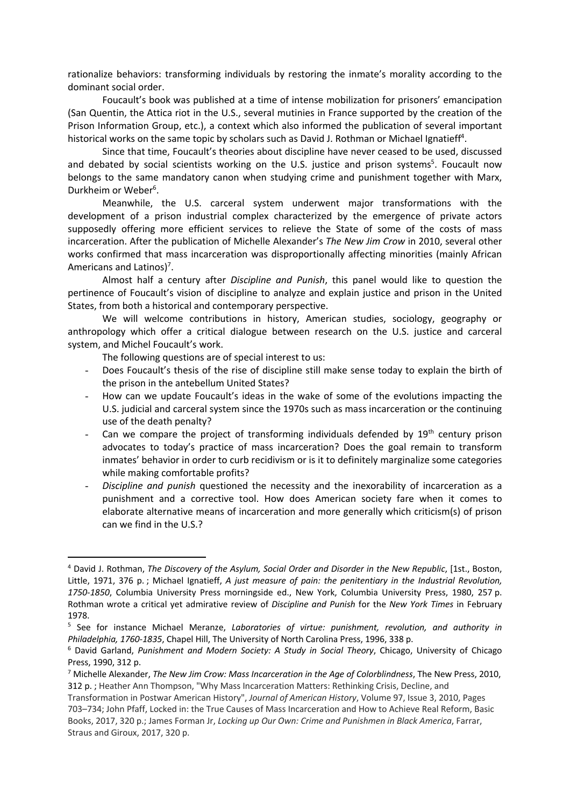rationalize behaviors: transforming individuals by restoring the inmate's morality according to the dominant social order.

Foucault's book was published at a time of intense mobilization for prisoners' emancipation (San Quentin, the Attica riot in the U.S., several mutinies in France supported by the creation of the Prison Information Group, etc.), a context which also informed the publication of several important historical works on the same topic by scholars such as David J. Rothman or Michael Ignatieff<sup>4</sup>.

Since that time, Foucault's theories about discipline have never ceased to be used, discussed and debated by social scientists working on the U.S. justice and prison systems<sup>5</sup>. Foucault now belongs to the same mandatory canon when studying crime and punishment together with Marx, Durkheim or Weber<sup>6</sup>.

Meanwhile, the U.S. carceral system underwent major transformations with the development of a prison industrial complex characterized by the emergence of private actors supposedly offering more efficient services to relieve the State of some of the costs of mass incarceration. After the publication of Michelle Alexander's *The New Jim Crow* in 2010, several other works confirmed that mass incarceration was disproportionally affecting minorities (mainly African Americans and Latinos)<sup>7</sup>.

Almost half a century after *Discipline and Punish*, this panel would like to question the pertinence of Foucault's vision of discipline to analyze and explain justice and prison in the United States, from both a historical and contemporary perspective.

We will welcome contributions in history, American studies, sociology, geography or anthropology which offer a critical dialogue between research on the U.S. justice and carceral system, and Michel Foucault's work.

The following questions are of special interest to us:

- Does Foucault's thesis of the rise of discipline still make sense today to explain the birth of the prison in the antebellum United States?
- How can we update Foucault's ideas in the wake of some of the evolutions impacting the U.S. judicial and carceral system since the 1970s such as mass incarceration or the continuing use of the death penalty?
- Can we compare the project of transforming individuals defended by  $19<sup>th</sup>$  century prison advocates to today's practice of mass incarceration? Does the goal remain to transform inmates' behavior in order to curb recidivism or is it to definitely marginalize some categories while making comfortable profits?
- *Discipline and punish* questioned the necessity and the inexorability of incarceration as a punishment and a corrective tool. How does American society fare when it comes to elaborate alternative means of incarceration and more generally which criticism(s) of prison can we find in the U.S.?

 <sup>4</sup> David J. Rothman, *The Discovery of the Asylum, Social Order and Disorder in the New Republic*, [1st., Boston, Little, 1971, 376 p. ; Michael Ignatieff, *A just measure of pain: the penitentiary in the Industrial Revolution, 1750-1850*, Columbia University Press morningside ed., New York, Columbia University Press, 1980, 257 p. Rothman wrote a critical yet admirative review of *Discipline and Punish* for the *New York Times* in February 1978.

<sup>5</sup> See for instance Michael Meranze, *Laboratories of virtue: punishment, revolution, and authority in Philadelphia, 1760-1835*, Chapel Hill, The University of North Carolina Press, 1996, 338 p.

<sup>6</sup> David Garland, *Punishment and Modern Society: A Study in Social Theory*, Chicago, University of Chicago Press, 1990, 312 p.

<sup>7</sup> Michelle Alexander, *The New Jim Crow: Mass Incarceration in the Age of Colorblindness*, The New Press, 2010, 312 p. ; Heather Ann Thompson, "Why Mass Incarceration Matters: Rethinking Crisis, Decline, and

Transformation in Postwar American History", *Journal of American History*, Volume 97, Issue 3, 2010, Pages 703–734; John Pfaff, Locked in: the True Causes of Mass Incarceration and How to Achieve Real Reform, Basic Books, 2017, 320 p.; James Forman Jr, *Locking up Our Own: Crime and Punishmen in Black America*, Farrar, Straus and Giroux, 2017, 320 p.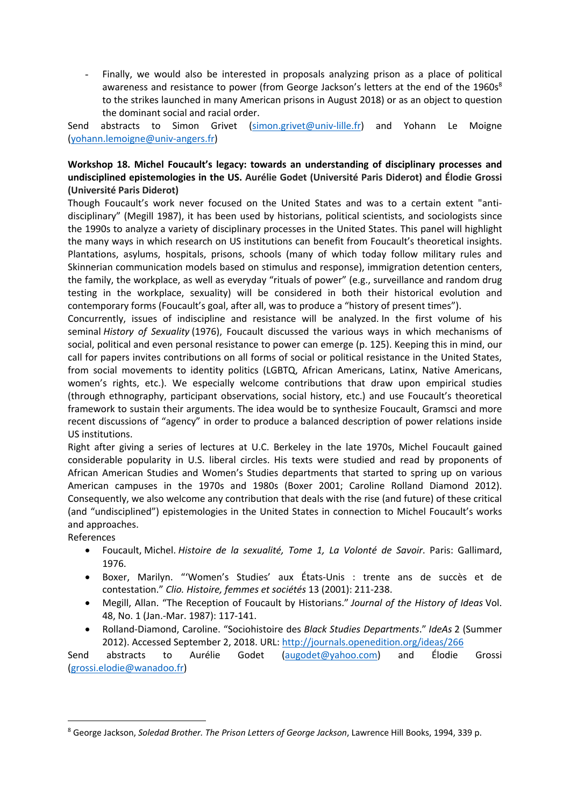Finally, we would also be interested in proposals analyzing prison as a place of political awareness and resistance to power (from George Jackson's letters at the end of the 1960s<sup>8</sup> to the strikes launched in many American prisons in August 2018) or as an object to question the dominant social and racial order.

Send abstracts to Simon Grivet (simon.grivet@univ-lille.fr) and Yohann Le Moigne (yohann.lemoigne@univ-angers.fr)

# **Workshop 18. Michel Foucault's legacy: towards an understanding of disciplinary processes and undisciplined epistemologies in the US. Aurélie Godet (Université Paris Diderot) and Élodie Grossi (Université Paris Diderot)**

Though Foucault's work never focused on the United States and was to a certain extent "antidisciplinary" (Megill 1987), it has been used by historians, political scientists, and sociologists since the 1990s to analyze a variety of disciplinary processes in the United States. This panel will highlight the many ways in which research on US institutions can benefit from Foucault's theoretical insights. Plantations, asylums, hospitals, prisons, schools (many of which today follow military rules and Skinnerian communication models based on stimulus and response), immigration detention centers, the family, the workplace, as well as everyday "rituals of power" (e.g., surveillance and random drug testing in the workplace, sexuality) will be considered in both their historical evolution and contemporary forms (Foucault's goal, after all, was to produce a "history of present times").

Concurrently, issues of indiscipline and resistance will be analyzed. In the first volume of his seminal *History of Sexuality* (1976), Foucault discussed the various ways in which mechanisms of social, political and even personal resistance to power can emerge (p. 125). Keeping this in mind, our call for papers invites contributions on all forms of social or political resistance in the United States, from social movements to identity politics (LGBTQ, African Americans, Latinx, Native Americans, women's rights, etc.). We especially welcome contributions that draw upon empirical studies (through ethnography, participant observations, social history, etc.) and use Foucault's theoretical framework to sustain their arguments. The idea would be to synthesize Foucault, Gramsci and more recent discussions of "agency" in order to produce a balanced description of power relations inside US institutions.

Right after giving a series of lectures at U.C. Berkeley in the late 1970s, Michel Foucault gained considerable popularity in U.S. liberal circles. His texts were studied and read by proponents of African American Studies and Women's Studies departments that started to spring up on various American campuses in the 1970s and 1980s (Boxer 2001; Caroline Rolland Diamond 2012). Consequently, we also welcome any contribution that deals with the rise (and future) of these critical (and "undisciplined") epistemologies in the United States in connection to Michel Foucault's works and approaches.

References

- Foucault, Michel. *Histoire de la sexualité, Tome 1, La Volonté de Savoir*. Paris: Gallimard, 1976.
- Boxer, Marilyn. "'Women's Studies' aux États-Unis : trente ans de succès et de contestation." *Clio. Histoire' femmes et sociétés* 13 (2001): 211-238.
- Megill, Allan. "The Reception of Foucault by Historians." *Journal of the History of Ideas* Vol. 48, No. 1 (Jan.-Mar. 1987): 117-141.
- Rolland-Diamond, Caroline. "Sociohistoire des *Black Studies Departments*." *IdeAs* 2 (Summer 2012). Accessed September 2, 2018. URL: http://journals.openedition.org/ideas/266

Send abstracts to Aurélie Godet (augodet@yahoo.com) and Élodie Grossi (grossi.elodie@wanadoo.fr)

 <sup>8</sup> George Jackson, *Soledad Brother. The Prison Letters of George Jackson*, Lawrence Hill Books, 1994, 339 p.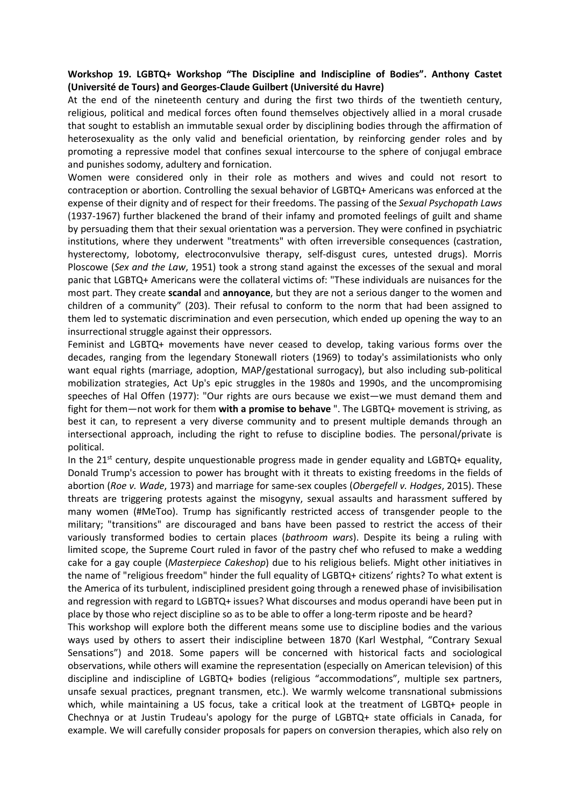### **Workshop 19. LGBTQ+ Workshop "The Discipline and Indiscipline of Bodies". Anthony Castet (Université de Tours) and Georges-Claude Guilbert (Université du Havre)**

At the end of the nineteenth century and during the first two thirds of the twentieth century, religious, political and medical forces often found themselves objectively allied in a moral crusade that sought to establish an immutable sexual order by disciplining bodies through the affirmation of heterosexuality as the only valid and beneficial orientation, by reinforcing gender roles and by promoting a repressive model that confines sexual intercourse to the sphere of conjugal embrace and punishes sodomy, adultery and fornication.

Women were considered only in their role as mothers and wives and could not resort to contraception or abortion. Controlling the sexual behavior of LGBTQ+ Americans was enforced at the expense of their dignity and of respect for their freedoms. The passing of the *Sexual Psychopath Laws* (1937-1967) further blackened the brand of their infamy and promoted feelings of guilt and shame by persuading them that their sexual orientation was a perversion. They were confined in psychiatric institutions, where they underwent "treatments" with often irreversible consequences (castration, hysterectomy, lobotomy, electroconvulsive therapy, self-disgust cures, untested drugs). Morris Ploscowe (*Sex and the Law*, 1951) took a strong stand against the excesses of the sexual and moral panic that LGBTQ+ Americans were the collateral victims of: "These individuals are nuisances for the most part. They create **scandal** and **annoyance**, but they are not a serious danger to the women and children of a community" (203). Their refusal to conform to the norm that had been assigned to them led to systematic discrimination and even persecution, which ended up opening the way to an insurrectional struggle against their oppressors.

Feminist and LGBTQ+ movements have never ceased to develop, taking various forms over the decades, ranging from the legendary Stonewall rioters (1969) to today's assimilationists who only want equal rights (marriage, adoption, MAP/gestational surrogacy), but also including sub-political mobilization strategies, Act Up's epic struggles in the 1980s and 1990s, and the uncompromising speeches of Hal Offen (1977): "Our rights are ours because we exist—we must demand them and fight for them—not work for them **with a promise to behave** ". The LGBTQ+ movement is striving, as best it can, to represent a very diverse community and to present multiple demands through an intersectional approach, including the right to refuse to discipline bodies. The personal/private is political.

In the  $21<sup>st</sup>$  century, despite unquestionable progress made in gender equality and LGBTQ+ equality, Donald Trump's accession to power has brought with it threats to existing freedoms in the fields of abortion (*Roe v. Wade*, 1973) and marriage for same-sex couples (*Obergefell v. Hodges*, 2015). These threats are triggering protests against the misogyny, sexual assaults and harassment suffered by many women (#MeToo). Trump has significantly restricted access of transgender people to the military; "transitions" are discouraged and bans have been passed to restrict the access of their variously transformed bodies to certain places (*bathroom wars*). Despite its being a ruling with limited scope, the Supreme Court ruled in favor of the pastry chef who refused to make a wedding cake for a gay couple (*Masterpiece Cakeshop*) due to his religious beliefs. Might other initiatives in the name of "religious freedom" hinder the full equality of LGBTQ+ citizens' rights? To what extent is the America of its turbulent, indisciplined president going through a renewed phase of invisibilisation and regression with regard to LGBTQ+ issues? What discourses and modus operandi have been put in place by those who reject discipline so as to be able to offer a long-term riposte and be heard?

This workshop will explore both the different means some use to discipline bodies and the various ways used by others to assert their indiscipline between 1870 (Karl Westphal, "Contrary Sexual Sensations") and 2018. Some papers will be concerned with historical facts and sociological observations, while others will examine the representation (especially on American television) of this discipline and indiscipline of LGBTQ+ bodies (religious "accommodations", multiple sex partners, unsafe sexual practices, pregnant transmen, etc.). We warmly welcome transnational submissions which, while maintaining a US focus, take a critical look at the treatment of LGBTQ+ people in Chechnya or at Justin Trudeau's apology for the purge of LGBTQ+ state officials in Canada, for example. We will carefully consider proposals for papers on conversion therapies, which also rely on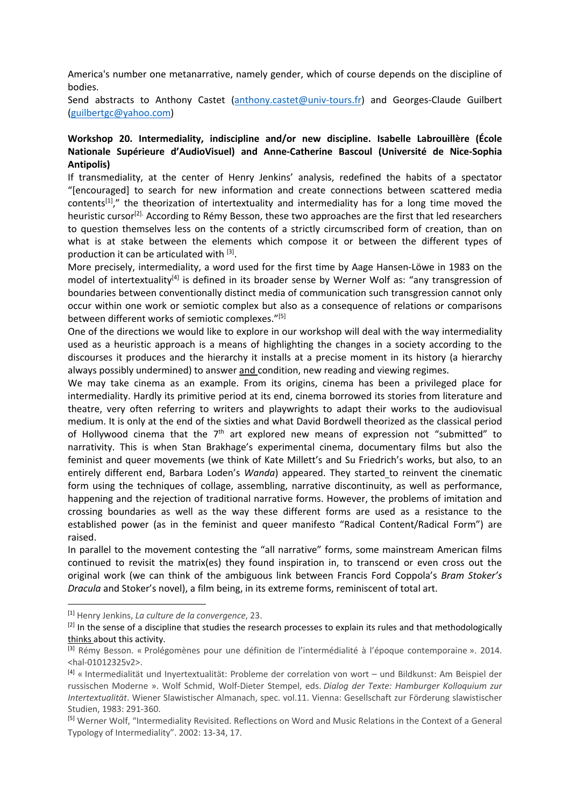America's number one metanarrative, namely gender, which of course depends on the discipline of bodies.

Send abstracts to Anthony Castet (anthony.castet@univ-tours.fr) and Georges-Claude Guilbert (guilbertgc@yahoo.com)

# **Workshop 20. Intermediality, indiscipline and/or new discipline. Isabelle Labrouillère (École Nationale Supérieure d'AudioVisuel) and Anne-Catherine Bascoul (Université de Nice-Sophia Antipolis)**

If transmediality, at the center of Henry Jenkins' analysis, redefined the habits of a spectator "[encouraged] to search for new information and create connections between scattered media contents<sup>[1]</sup>," the theorization of intertextuality and intermediality has for a long time moved the heuristic cursor<sup>[2].</sup> According to Rémy Besson, these two approaches are the first that led researchers to question themselves less on the contents of a strictly circumscribed form of creation, than on what is at stake between the elements which compose it or between the different types of production it can be articulated with  $[3]$ .

More precisely, intermediality, a word used for the first time by Aage Hansen-Löwe in 1983 on the model of intertextuality<sup>[4]</sup> is defined in its broader sense by Werner Wolf as: "any transgression of boundaries between conventionally distinct media of communication such transgression cannot only occur within one work or semiotic complex but also as a consequence of relations or comparisons between different works of semiotic complexes."<sup>[5]</sup>

One of the directions we would like to explore in our workshop will deal with the way intermediality used as a heuristic approach is a means of highlighting the changes in a society according to the discourses it produces and the hierarchy it installs at a precise moment in its history (a hierarchy always possibly undermined) to answer and condition, new reading and viewing regimes.

We may take cinema as an example. From its origins, cinema has been a privileged place for intermediality. Hardly its primitive period at its end, cinema borrowed its stories from literature and theatre, very often referring to writers and playwrights to adapt their works to the audiovisual medium. It is only at the end of the sixties and what David Bordwell theorized as the classical period of Hollywood cinema that the  $7<sup>th</sup>$  art explored new means of expression not "submitted" to narrativity. This is when Stan Brakhage's experimental cinema, documentary films but also the feminist and queer movements (we think of Kate Millett's and Su Friedrich's works, but also, to an entirely different end, Barbara Loden's *Wanda*) appeared. They started to reinvent the cinematic form using the techniques of collage, assembling, narrative discontinuity, as well as performance, happening and the rejection of traditional narrative forms. However, the problems of imitation and crossing boundaries as well as the way these different forms are used as a resistance to the established power (as in the feminist and queer manifesto "Radical Content/Radical Form") are raised.

In parallel to the movement contesting the "all narrative" forms, some mainstream American films continued to revisit the matrix(es) they found inspiration in, to transcend or even cross out the original work (we can think of the ambiguous link between Francis Ford Coppola's *Bram Stoker's Dracula* and Stoker's novel), a film being, in its extreme forms, reminiscent of total art.

 <sup>[1]</sup> Henry Jenkins, *La culture de la convergence*, 23.

<sup>&</sup>lt;sup>[2]</sup> In the sense of a discipline that studies the research processes to explain its rules and that methodologically thinks about this activity.

<sup>[3]</sup> Rémy Besson. « Prolégomènes pour une définition de l'intermédialité à l'époque contemporaine ». 2014. <hal-01012325v2>.

<sup>[4]</sup> « Intermedialität und Inyertextualität: Probleme der correlation von wort – und Bildkunst: Am Beispiel der russischen Moderne ». Wolf Schmid, Wolf-Dieter Stempel, eds. *Dialog der Texte: Hamburger Kolloquium zur Intertextualität*. Wiener Slawistischer Almanach, spec. vol.11. Vienna: Gesellschaft zur Förderung slawistischer Studien, 1983: 291-360.

<sup>[5]</sup> Werner Wolf, "Intermediality Revisited. Reflections on Word and Music Relations in the Context of a General Typology of Intermediality". 2002: 13-34, 17.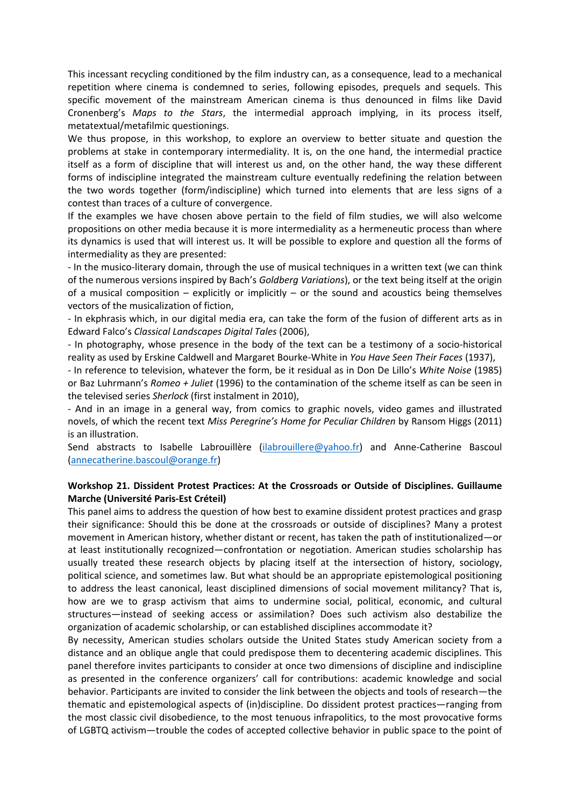This incessant recycling conditioned by the film industry can, as a consequence, lead to a mechanical repetition where cinema is condemned to series, following episodes, prequels and sequels. This specific movement of the mainstream American cinema is thus denounced in films like David Cronenberg's *Maps to the Stars*, the intermedial approach implying, in its process itself, metatextual/metafilmic questionings.

We thus propose, in this workshop, to explore an overview to better situate and question the problems at stake in contemporary intermediality. It is, on the one hand, the intermedial practice itself as a form of discipline that will interest us and, on the other hand, the way these different forms of indiscipline integrated the mainstream culture eventually redefining the relation between the two words together (form/indiscipline) which turned into elements that are less signs of a contest than traces of a culture of convergence.

If the examples we have chosen above pertain to the field of film studies, we will also welcome propositions on other media because it is more intermediality as a hermeneutic process than where its dynamics is used that will interest us. It will be possible to explore and question all the forms of intermediality as they are presented:

- In the musico-literary domain, through the use of musical techniques in a written text (we can think of the numerous versions inspired by Bach's *Goldberg Variations*), or the text being itself at the origin of a musical composition – explicitly or implicitly – or the sound and acoustics being themselves vectors of the musicalization of fiction,

- In ekphrasis which, in our digital media era, can take the form of the fusion of different arts as in Edward Falco's *Classical Landscapes Digital Tales* (2006),

- In photography, whose presence in the body of the text can be a testimony of a socio-historical reality as used by Erskine Caldwell and Margaret Bourke-White in *You Have Seen Their Faces* (1937),

- In reference to television, whatever the form, be it residual as in Don De Lillo's *White Noise* (1985) or Baz Luhrmann's *Romeo + Juliet* (1996) to the contamination of the scheme itself as can be seen in the televised series *Sherlock* (first instalment in 2010),

- And in an image in a general way, from comics to graphic novels, video games and illustrated novels, of which the recent text *Miss Peregrine's Home for Peculiar Children* by Ransom Higgs (2011) is an illustration.

Send abstracts to Isabelle Labrouillère (ilabrouillere@yahoo.fr) and Anne-Catherine Bascoul (annecatherine.bascoul@orange.fr)

### **Workshop 21. Dissident Protest Practices: At the Crossroads or Outside of Disciplines. Guillaume Marche (Université Paris-Est Créteil)**

This panel aims to address the question of how best to examine dissident protest practices and grasp their significance: Should this be done at the crossroads or outside of disciplines? Many a protest movement in American history, whether distant or recent, has taken the path of institutionalized—or at least institutionally recognized—confrontation or negotiation. American studies scholarship has usually treated these research objects by placing itself at the intersection of history, sociology, political science, and sometimes law. But what should be an appropriate epistemological positioning to address the least canonical, least disciplined dimensions of social movement militancy? That is, how are we to grasp activism that aims to undermine social, political, economic, and cultural structures—instead of seeking access or assimilation? Does such activism also destabilize the organization of academic scholarship, or can established disciplines accommodate it?

By necessity, American studies scholars outside the United States study American society from a distance and an oblique angle that could predispose them to decentering academic disciplines. This panel therefore invites participants to consider at once two dimensions of discipline and indiscipline as presented in the conference organizers' call for contributions: academic knowledge and social behavior. Participants are invited to consider the link between the objects and tools of research—the thematic and epistemological aspects of (in)discipline. Do dissident protest practices—ranging from the most classic civil disobedience, to the most tenuous infrapolitics, to the most provocative forms of LGBTQ activism—trouble the codes of accepted collective behavior in public space to the point of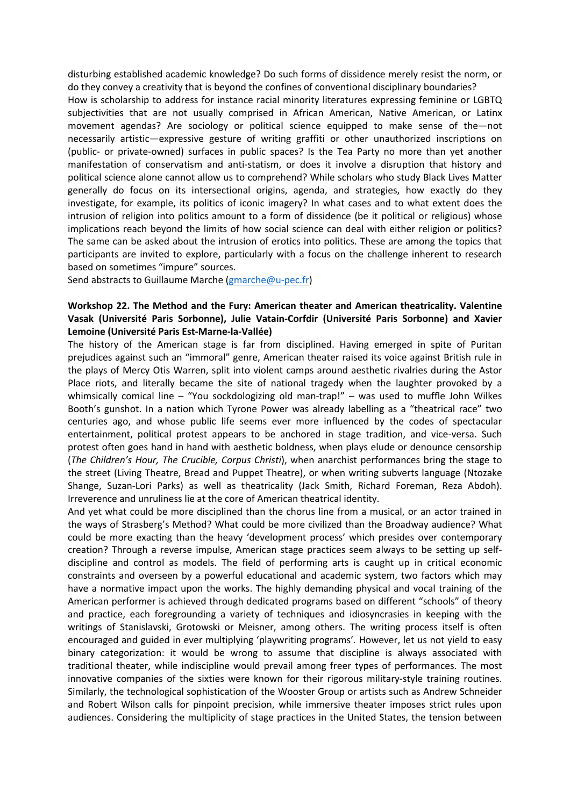disturbing established academic knowledge? Do such forms of dissidence merely resist the norm, or do they convey a creativity that is beyond the confines of conventional disciplinary boundaries?

How is scholarship to address for instance racial minority literatures expressing feminine or LGBTQ subjectivities that are not usually comprised in African American, Native American, or Latinx movement agendas? Are sociology or political science equipped to make sense of the—not necessarily artistic—expressive gesture of writing graffiti or other unauthorized inscriptions on (public- or private-owned) surfaces in public spaces? Is the Tea Party no more than yet another manifestation of conservatism and anti-statism, or does it involve a disruption that history and political science alone cannot allow us to comprehend? While scholars who study Black Lives Matter generally do focus on its intersectional origins, agenda, and strategies, how exactly do they investigate, for example, its politics of iconic imagery? In what cases and to what extent does the intrusion of religion into politics amount to a form of dissidence (be it political or religious) whose implications reach beyond the limits of how social science can deal with either religion or politics? The same can be asked about the intrusion of erotics into politics. These are among the topics that participants are invited to explore, particularly with a focus on the challenge inherent to research based on sometimes "impure" sources.

Send abstracts to Guillaume Marche (gmarche@u-pec.fr)

## **Workshop 22. The Method and the Fury: American theater and American theatricality. Valentine Vasak (Université Paris Sorbonne), Julie Vatain-Corfdir (Université Paris Sorbonne) and Xavier Lemoine (Université Paris Est-Marne-la-Vallée)**

The history of the American stage is far from disciplined. Having emerged in spite of Puritan prejudices against such an "immoral" genre, American theater raised its voice against British rule in the plays of Mercy Otis Warren, split into violent camps around aesthetic rivalries during the Astor Place riots, and literally became the site of national tragedy when the laughter provoked by a whimsically comical line – "You sockdologizing old man-trap!" – was used to muffle John Wilkes Booth's gunshot. In a nation which Tyrone Power was already labelling as a "theatrical race" two centuries ago, and whose public life seems ever more influenced by the codes of spectacular entertainment, political protest appears to be anchored in stage tradition, and vice-versa. Such protest often goes hand in hand with aesthetic boldness, when plays elude or denounce censorship (*The Children's Hour, The Crucible, Corpus Christi*), when anarchist performances bring the stage to the street (Living Theatre, Bread and Puppet Theatre), or when writing subverts language (Ntozake Shange, Suzan-Lori Parks) as well as theatricality (Jack Smith, Richard Foreman, Reza Abdoh). Irreverence and unruliness lie at the core of American theatrical identity.

And yet what could be more disciplined than the chorus line from a musical, or an actor trained in the ways of Strasberg's Method? What could be more civilized than the Broadway audience? What could be more exacting than the heavy 'development process' which presides over contemporary creation? Through a reverse impulse, American stage practices seem always to be setting up selfdiscipline and control as models. The field of performing arts is caught up in critical economic constraints and overseen by a powerful educational and academic system, two factors which may have a normative impact upon the works. The highly demanding physical and vocal training of the American performer is achieved through dedicated programs based on different "schools" of theory and practice, each foregrounding a variety of techniques and idiosyncrasies in keeping with the writings of Stanislavski, Grotowski or Meisner, among others. The writing process itself is often encouraged and guided in ever multiplying 'playwriting programs'*.* However, let us not yield to easy binary categorization: it would be wrong to assume that discipline is always associated with traditional theater, while indiscipline would prevail among freer types of performances. The most innovative companies of the sixties were known for their rigorous military-style training routines. Similarly, the technological sophistication of the Wooster Group or artists such as Andrew Schneider and Robert Wilson calls for pinpoint precision, while immersive theater imposes strict rules upon audiences. Considering the multiplicity of stage practices in the United States, the tension between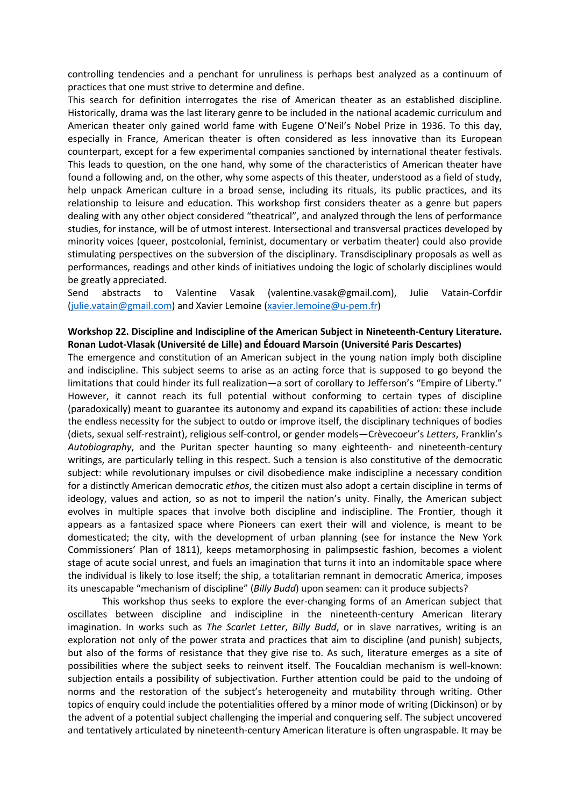controlling tendencies and a penchant for unruliness is perhaps best analyzed as a continuum of practices that one must strive to determine and define.

This search for definition interrogates the rise of American theater as an established discipline. Historically, drama was the last literary genre to be included in the national academic curriculum and American theater only gained world fame with Eugene O'Neil's Nobel Prize in 1936. To this day, especially in France, American theater is often considered as less innovative than its European counterpart, except for a few experimental companies sanctioned by international theater festivals. This leads to question, on the one hand, why some of the characteristics of American theater have found a following and, on the other, why some aspects of this theater, understood as a field of study, help unpack American culture in a broad sense, including its rituals, its public practices, and its relationship to leisure and education. This workshop first considers theater as a genre but papers dealing with any other object considered "theatrical", and analyzed through the lens of performance studies, for instance, will be of utmost interest. Intersectional and transversal practices developed by minority voices (queer, postcolonial, feminist, documentary or verbatim theater) could also provide stimulating perspectives on the subversion of the disciplinary. Transdisciplinary proposals as well as performances, readings and other kinds of initiatives undoing the logic of scholarly disciplines would be greatly appreciated.

Send abstracts to Valentine Vasak (valentine.vasak@gmail.com), Julie Vatain-Corfdir (julie.vatain@gmail.com) and Xavier Lemoine (xavier.lemoine@u-pem.fr)

### **Workshop 22. Discipline and Indiscipline of the American Subject in Nineteenth-Century Literature. Ronan Ludot-Vlasak (Université de Lille) and Édouard Marsoin (Université Paris Descartes)**

The emergence and constitution of an American subject in the young nation imply both discipline and indiscipline. This subject seems to arise as an acting force that is supposed to go beyond the limitations that could hinder its full realization—a sort of corollary to Jefferson's "Empire of Liberty." However, it cannot reach its full potential without conforming to certain types of discipline (paradoxically) meant to guarantee its autonomy and expand its capabilities of action: these include the endless necessity for the subject to outdo or improve itself, the disciplinary techniques of bodies (diets, sexual self-restraint), religious self-control, or gender models—Crèvecoeur's *Letters*, Franklin's *Autobiography*, and the Puritan specter haunting so many eighteenth- and nineteenth-century writings, are particularly telling in this respect. Such a tension is also constitutive of the democratic subject: while revolutionary impulses or civil disobedience make indiscipline a necessary condition for a distinctly American democratic *ethos*, the citizen must also adopt a certain discipline in terms of ideology, values and action, so as not to imperil the nation's unity. Finally, the American subject evolves in multiple spaces that involve both discipline and indiscipline. The Frontier, though it appears as a fantasized space where Pioneers can exert their will and violence, is meant to be domesticated; the city, with the development of urban planning (see for instance the New York Commissioners' Plan of 1811), keeps metamorphosing in palimpsestic fashion, becomes a violent stage of acute social unrest, and fuels an imagination that turns it into an indomitable space where the individual is likely to lose itself; the ship, a totalitarian remnant in democratic America, imposes its unescapable "mechanism of discipline" (*Billy Budd*) upon seamen: can it produce subjects?

This workshop thus seeks to explore the ever-changing forms of an American subject that oscillates between discipline and indiscipline in the nineteenth-century American literary imagination. In works such as *The Scarlet Letter*, *Billy Budd*, or in slave narratives, writing is an exploration not only of the power strata and practices that aim to discipline (and punish) subjects, but also of the forms of resistance that they give rise to. As such, literature emerges as a site of possibilities where the subject seeks to reinvent itself. The Foucaldian mechanism is well-known: subjection entails a possibility of subjectivation. Further attention could be paid to the undoing of norms and the restoration of the subject's heterogeneity and mutability through writing. Other topics of enquiry could include the potentialities offered by a minor mode of writing (Dickinson) or by the advent of a potential subject challenging the imperial and conquering self. The subject uncovered and tentatively articulated by nineteenth-century American literature is often ungraspable. It may be